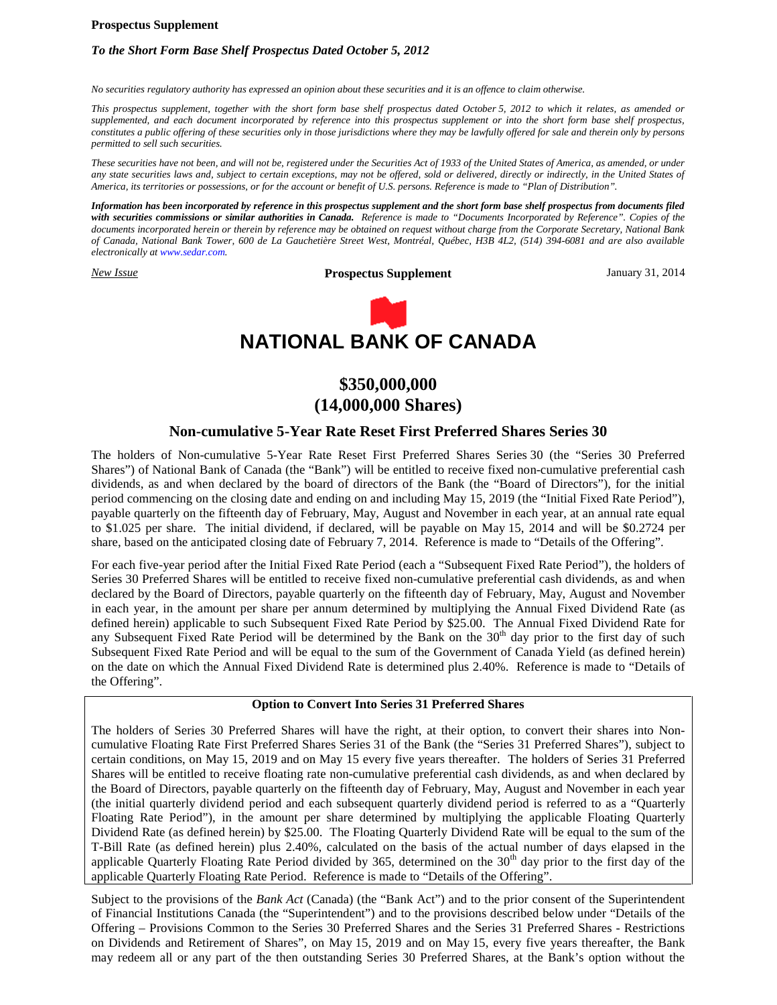### **Prospectus Supplement**

# *To the Short Form Base Shelf Prospectus Dated October 5, 2012*

*No securities regulatory authority has expressed an opinion about these securities and it is an offence to claim otherwise.*

*This prospectus supplement, together with the short form base shelf prospectus dated October 5, 2012 to which it relates, as amended or supplemented, and each document incorporated by reference into this prospectus supplement or into the short form base shelf prospectus, constitutes a public offering of these securities only in those jurisdictions where they may be lawfully offered for sale and therein only by persons permitted to sell such securities.*

*These securities have not been, and will not be, registered under the Securities Act of 1933 of the United States of America, as amended, or under any state securities laws and, subject to certain exceptions, may not be offered, sold or delivered, directly or indirectly, in the United States of America, its territories or possessions, or for the account or benefit of U.S. persons. Reference is made to "Plan of Distribution".*

*Information has been incorporated by reference in this prospectus supplement and the short form base shelf prospectus from documents filed with securities commissions or similar authorities in Canada. Reference is made to "Documents Incorporated by Reference". Copies of the documents incorporated herein or therein by reference may be obtained on request without charge from the Corporate Secretary, National Bank of Canada, National Bank Tower, 600 de La Gauchetière Street West, Montréal, Québec, H3B 4L2, (514) 394-6081 and are also available electronically at www.sedar.com.*

*New Issue* **Prospectus Supplement** January 31, 2014



# **\$350,000,000 (14,000,000 Shares)**

# **Non-cumulative 5-Year Rate Reset First Preferred Shares Series 30**

The holders of Non-cumulative 5-Year Rate Reset First Preferred Shares Series 30 (the "Series 30 Preferred Shares") of National Bank of Canada (the "Bank") will be entitled to receive fixed non-cumulative preferential cash dividends, as and when declared by the board of directors of the Bank (the "Board of Directors"), for the initial period commencing on the closing date and ending on and including May 15, 2019 (the "Initial Fixed Rate Period"), payable quarterly on the fifteenth day of February, May, August and November in each year, at an annual rate equal to \$1.025 per share. The initial dividend, if declared, will be payable on May 15, 2014 and will be \$0.2724 per share, based on the anticipated closing date of February 7, 2014. Reference is made to "Details of the Offering".

For each five-year period after the Initial Fixed Rate Period (each a "Subsequent Fixed Rate Period"), the holders of Series 30 Preferred Shares will be entitled to receive fixed non-cumulative preferential cash dividends, as and when declared by the Board of Directors, payable quarterly on the fifteenth day of February, May, August and November in each year, in the amount per share per annum determined by multiplying the Annual Fixed Dividend Rate (as defined herein) applicable to such Subsequent Fixed Rate Period by \$25.00. The Annual Fixed Dividend Rate for any Subsequent Fixed Rate Period will be determined by the Bank on the  $30<sup>th</sup>$  day prior to the first day of such Subsequent Fixed Rate Period and will be equal to the sum of the Government of Canada Yield (as defined herein) on the date on which the Annual Fixed Dividend Rate is determined plus 2.40%. Reference is made to "Details of the Offering".

# **Option to Convert Into Series 31 Preferred Shares**

The holders of Series 30 Preferred Shares will have the right, at their option, to convert their shares into Noncumulative Floating Rate First Preferred Shares Series 31 of the Bank (the "Series 31 Preferred Shares"), subject to certain conditions, on May 15, 2019 and on May 15 every five years thereafter. The holders of Series 31 Preferred Shares will be entitled to receive floating rate non-cumulative preferential cash dividends, as and when declared by the Board of Directors, payable quarterly on the fifteenth day of February, May, August and November in each year (the initial quarterly dividend period and each subsequent quarterly dividend period is referred to as a "Quarterly Floating Rate Period"), in the amount per share determined by multiplying the applicable Floating Quarterly Dividend Rate (as defined herein) by \$25.00. The Floating Quarterly Dividend Rate will be equal to the sum of the T-Bill Rate (as defined herein) plus 2.40%, calculated on the basis of the actual number of days elapsed in the applicable Quarterly Floating Rate Period divided by 365, determined on the  $30<sup>th</sup>$  day prior to the first day of the applicable Quarterly Floating Rate Period. Reference is made to "Details of the Offering".

Subject to the provisions of the *Bank Act* (Canada) (the "Bank Act") and to the prior consent of the Superintendent of Financial Institutions Canada (the "Superintendent") and to the provisions described below under "Details of the Offering – Provisions Common to the Series 30 Preferred Shares and the Series 31 Preferred Shares - Restrictions on Dividends and Retirement of Shares", on May 15, 2019 and on May 15, every five years thereafter, the Bank may redeem all or any part of the then outstanding Series 30 Preferred Shares, at the Bank's option without the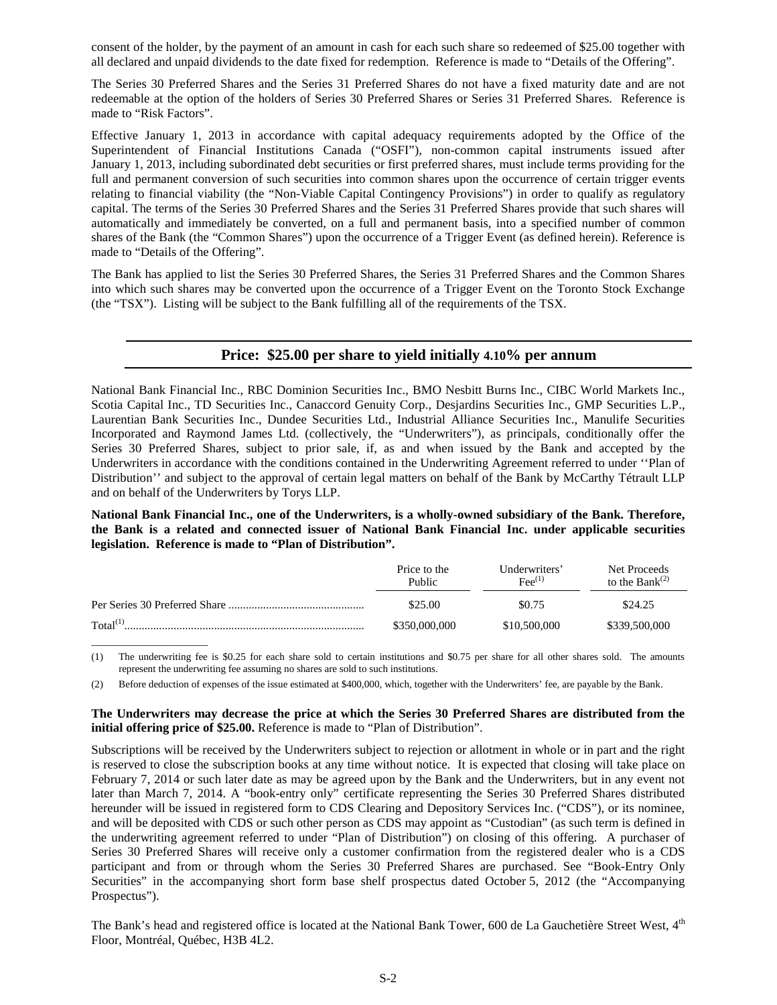consent of the holder, by the payment of an amount in cash for each such share so redeemed of \$25.00 together with all declared and unpaid dividends to the date fixed for redemption. Reference is made to "Details of the Offering".

The Series 30 Preferred Shares and the Series 31 Preferred Shares do not have a fixed maturity date and are not redeemable at the option of the holders of Series 30 Preferred Shares or Series 31 Preferred Shares. Reference is made to "Risk Factors".

Effective January 1, 2013 in accordance with capital adequacy requirements adopted by the Office of the Superintendent of Financial Institutions Canada ("OSFI"), non-common capital instruments issued after January 1, 2013, including subordinated debt securities or first preferred shares, must include terms providing for the full and permanent conversion of such securities into common shares upon the occurrence of certain trigger events relating to financial viability (the "Non-Viable Capital Contingency Provisions") in order to qualify as regulatory capital. The terms of the Series 30 Preferred Shares and the Series 31 Preferred Shares provide that such shares will automatically and immediately be converted, on a full and permanent basis, into a specified number of common shares of the Bank (the "Common Shares") upon the occurrence of a Trigger Event (as defined herein). Reference is made to "Details of the Offering".

The Bank has applied to list the Series 30 Preferred Shares, the Series 31 Preferred Shares and the Common Shares into which such shares may be converted upon the occurrence of a Trigger Event on the Toronto Stock Exchange (the "TSX"). Listing will be subject to the Bank fulfilling all of the requirements of the TSX.

# **Price: \$25.00 per share to yield initially 4.10% per annum**

National Bank Financial Inc., RBC Dominion Securities Inc., BMO Nesbitt Burns Inc., CIBC World Markets Inc., Scotia Capital Inc., TD Securities Inc., Canaccord Genuity Corp., Desjardins Securities Inc., GMP Securities L.P., Laurentian Bank Securities Inc., Dundee Securities Ltd., Industrial Alliance Securities Inc., Manulife Securities Incorporated and Raymond James Ltd. (collectively, the "Underwriters"), as principals, conditionally offer the Series 30 Preferred Shares, subject to prior sale, if, as and when issued by the Bank and accepted by the Underwriters in accordance with the conditions contained in the Underwriting Agreement referred to under ''Plan of Distribution'' and subject to the approval of certain legal matters on behalf of the Bank by McCarthy Tétrault LLP and on behalf of the Underwriters by Torys LLP.

**National Bank Financial Inc., one of the Underwriters, is a wholly-owned subsidiary of the Bank. Therefore, the Bank is a related and connected issuer of National Bank Financial Inc. under applicable securities legislation. Reference is made to "Plan of Distribution".**

|                      | Price to the<br>Public | Underwriters'<br>$\text{Fe}^{(1)}$ | Net Proceeds<br>to the Bank $^{(2)}$ |
|----------------------|------------------------|------------------------------------|--------------------------------------|
|                      | \$25.00                | \$0.75                             | \$24.25                              |
| Total <sup>(1)</sup> | \$350,000,000          | \$10,500,000                       | \$339,500,000                        |

(1) The underwriting fee is \$0.25 for each share sold to certain institutions and \$0.75 per share for all other shares sold. The amounts represent the underwriting fee assuming no shares are sold to such institutions.

(2) Before deduction of expenses of the issue estimated at \$400,000, which, together with the Underwriters' fee, are payable by the Bank.

\_\_\_\_\_\_\_\_\_\_\_\_\_\_\_\_\_\_\_\_\_\_\_

### **The Underwriters may decrease the price at which the Series 30 Preferred Shares are distributed from the initial offering price of \$25.00.** Reference is made to "Plan of Distribution".

Subscriptions will be received by the Underwriters subject to rejection or allotment in whole or in part and the right is reserved to close the subscription books at any time without notice. It is expected that closing will take place on February 7, 2014 or such later date as may be agreed upon by the Bank and the Underwriters, but in any event not later than March 7, 2014. A "book-entry only" certificate representing the Series 30 Preferred Shares distributed hereunder will be issued in registered form to CDS Clearing and Depository Services Inc. ("CDS"), or its nominee, and will be deposited with CDS or such other person as CDS may appoint as "Custodian" (as such term is defined in the underwriting agreement referred to under "Plan of Distribution") on closing of this offering. A purchaser of Series 30 Preferred Shares will receive only a customer confirmation from the registered dealer who is a CDS participant and from or through whom the Series 30 Preferred Shares are purchased. See "Book-Entry Only Securities" in the accompanying short form base shelf prospectus dated October 5, 2012 (the "Accompanying Prospectus").

The Bank's head and registered office is located at the National Bank Tower, 600 de La Gauchetière Street West, 4<sup>th</sup> Floor, Montréal, Québec, H3B 4L2.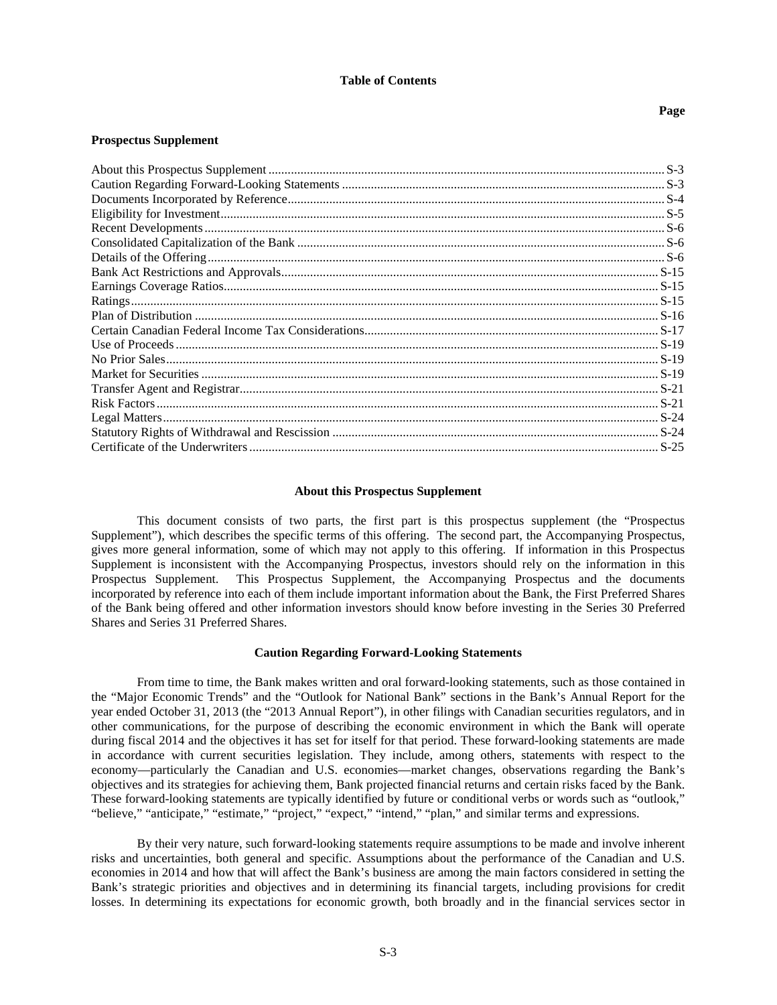### **Table of Contents**

#### **Page**

#### **Prospectus Supplement**

# <span id="page-2-0"></span>**About this Prospectus Supplement**

This document consists of two parts, the first part is this prospectus supplement (the "Prospectus Supplement"), which describes the specific terms of this offering. The second part, the Accompanying Prospectus, gives more general information, some of which may not apply to this offering. If information in this Prospectus Supplement is inconsistent with the Accompanying Prospectus, investors should rely on the information in this Prospectus Supplement. This Prospectus Supplement, the Accompanying Prospectus and the documents incorporated by reference into each of them include important information about the Bank, the First Preferred Shares of the Bank being offered and other information investors should know before investing in the Series 30 Preferred Shares and Series 31 Preferred Shares.

#### <span id="page-2-1"></span>**Caution Regarding Forward-Looking Statements**

From time to time, the Bank makes written and oral forward-looking statements, such as those contained in the "Major Economic Trends" and the "Outlook for National Bank" sections in the Bank's Annual Report for the year ended October 31, 2013 (the "2013 Annual Report"), in other filings with Canadian securities regulators, and in other communications, for the purpose of describing the economic environment in which the Bank will operate during fiscal 2014 and the objectives it has set for itself for that period. These forward-looking statements are made in accordance with current securities legislation. They include, among others, statements with respect to the economy—particularly the Canadian and U.S. economies—market changes, observations regarding the Bank's objectives and its strategies for achieving them, Bank projected financial returns and certain risks faced by the Bank. These forward-looking statements are typically identified by future or conditional verbs or words such as "outlook," "believe," "anticipate," "estimate," "project," "expect," "intend," "plan," and similar terms and expressions.

By their very nature, such forward-looking statements require assumptions to be made and involve inherent risks and uncertainties, both general and specific. Assumptions about the performance of the Canadian and U.S. economies in 2014 and how that will affect the Bank's business are among the main factors considered in setting the Bank's strategic priorities and objectives and in determining its financial targets, including provisions for credit losses. In determining its expectations for economic growth, both broadly and in the financial services sector in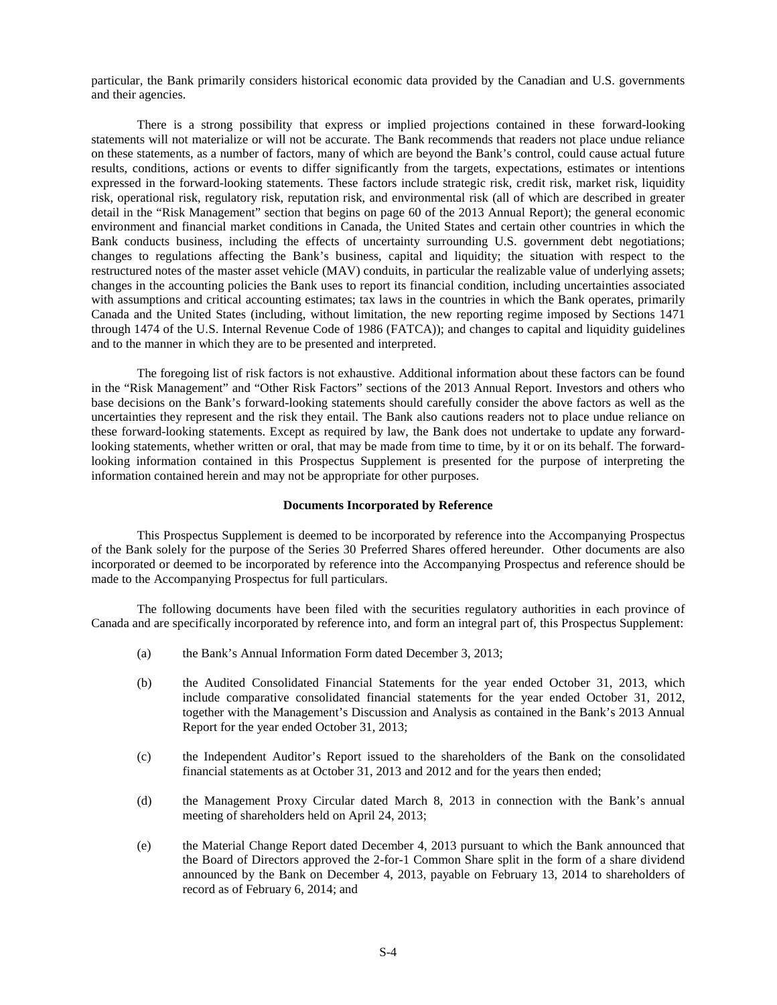particular, the Bank primarily considers historical economic data provided by the Canadian and U.S. governments and their agencies.

There is a strong possibility that express or implied projections contained in these forward-looking statements will not materialize or will not be accurate. The Bank recommends that readers not place undue reliance on these statements, as a number of factors, many of which are beyond the Bank's control, could cause actual future results, conditions, actions or events to differ significantly from the targets, expectations, estimates or intentions expressed in the forward-looking statements. These factors include strategic risk, credit risk, market risk, liquidity risk, operational risk, regulatory risk, reputation risk, and environmental risk (all of which are described in greater detail in the "Risk Management" section that begins on page 60 of the 2013 Annual Report); the general economic environment and financial market conditions in Canada, the United States and certain other countries in which the Bank conducts business, including the effects of uncertainty surrounding U.S. government debt negotiations; changes to regulations affecting the Bank's business, capital and liquidity; the situation with respect to the restructured notes of the master asset vehicle (MAV) conduits, in particular the realizable value of underlying assets; changes in the accounting policies the Bank uses to report its financial condition, including uncertainties associated with assumptions and critical accounting estimates; tax laws in the countries in which the Bank operates, primarily Canada and the United States (including, without limitation, the new reporting regime imposed by Sections 1471 through 1474 of the U.S. Internal Revenue Code of 1986 (FATCA)); and changes to capital and liquidity guidelines and to the manner in which they are to be presented and interpreted.

The foregoing list of risk factors is not exhaustive. Additional information about these factors can be found in the "Risk Management" and "Other Risk Factors" sections of the 2013 Annual Report. Investors and others who base decisions on the Bank's forward-looking statements should carefully consider the above factors as well as the uncertainties they represent and the risk they entail. The Bank also cautions readers not to place undue reliance on these forward-looking statements. Except as required by law, the Bank does not undertake to update any forwardlooking statements, whether written or oral, that may be made from time to time, by it or on its behalf. The forwardlooking information contained in this Prospectus Supplement is presented for the purpose of interpreting the information contained herein and may not be appropriate for other purposes.

#### <span id="page-3-0"></span>**Documents Incorporated by Reference**

This Prospectus Supplement is deemed to be incorporated by reference into the Accompanying Prospectus of the Bank solely for the purpose of the Series 30 Preferred Shares offered hereunder. Other documents are also incorporated or deemed to be incorporated by reference into the Accompanying Prospectus and reference should be made to the Accompanying Prospectus for full particulars.

The following documents have been filed with the securities regulatory authorities in each province of Canada and are specifically incorporated by reference into, and form an integral part of, this Prospectus Supplement:

- (a) the Bank's Annual Information Form dated December 3, 2013;
- (b) the Audited Consolidated Financial Statements for the year ended October 31, 2013, which include comparative consolidated financial statements for the year ended October 31, 2012, together with the Management's Discussion and Analysis as contained in the Bank's 2013 Annual Report for the year ended October 31, 2013;
- (c) the Independent Auditor's Report issued to the shareholders of the Bank on the consolidated financial statements as at October 31, 2013 and 2012 and for the years then ended;
- (d) the Management Proxy Circular dated March 8, 2013 in connection with the Bank's annual meeting of shareholders held on April 24, 2013;
- (e) the Material Change Report dated December 4, 2013 pursuant to which the Bank announced that the Board of Directors approved the 2-for-1 Common Share split in the form of a share dividend announced by the Bank on December 4, 2013, payable on February 13, 2014 to shareholders of record as of February 6, 2014; and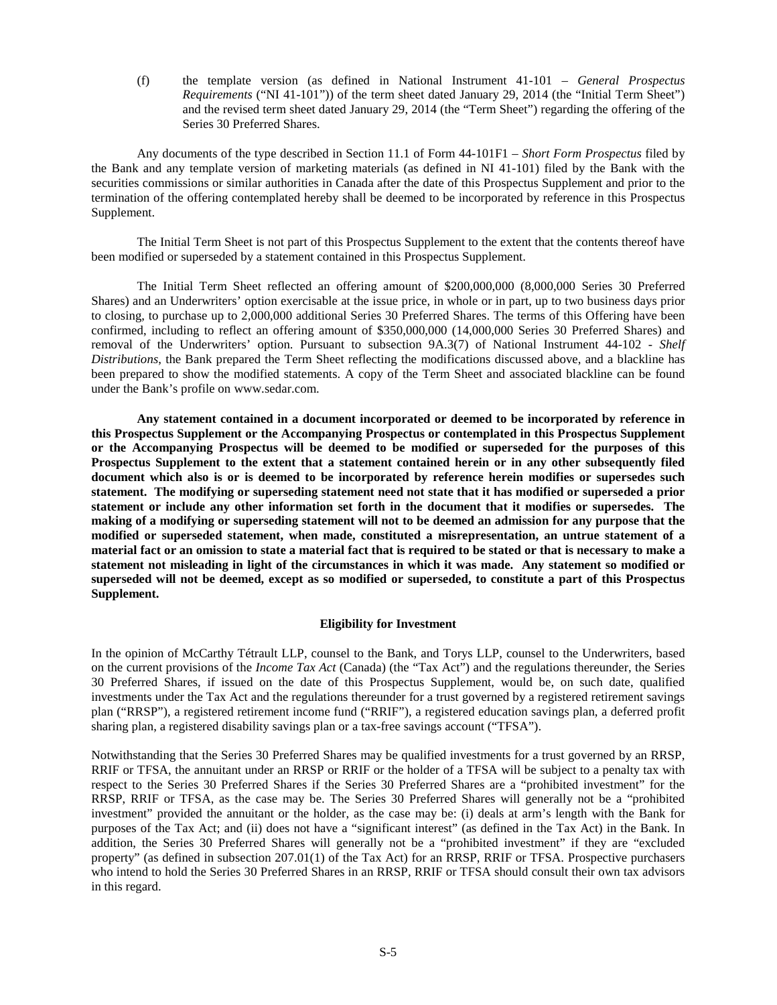(f) the template version (as defined in National Instrument 41-101 – *General Prospectus Requirements* ("NI 41-101")) of the term sheet dated January 29, 2014 (the "Initial Term Sheet") and the revised term sheet dated January 29, 2014 (the "Term Sheet") regarding the offering of the Series 30 Preferred Shares.

Any documents of the type described in Section 11.1 of Form 44-101F1 – *Short Form Prospectus* filed by the Bank and any template version of marketing materials (as defined in NI 41-101) filed by the Bank with the securities commissions or similar authorities in Canada after the date of this Prospectus Supplement and prior to the termination of the offering contemplated hereby shall be deemed to be incorporated by reference in this Prospectus Supplement.

The Initial Term Sheet is not part of this Prospectus Supplement to the extent that the contents thereof have been modified or superseded by a statement contained in this Prospectus Supplement.

The Initial Term Sheet reflected an offering amount of \$200,000,000 (8,000,000 Series 30 Preferred Shares) and an Underwriters' option exercisable at the issue price, in whole or in part, up to two business days prior to closing, to purchase up to 2,000,000 additional Series 30 Preferred Shares. The terms of this Offering have been confirmed, including to reflect an offering amount of \$350,000,000 (14,000,000 Series 30 Preferred Shares) and removal of the Underwriters' option. Pursuant to subsection 9A.3(7) of National Instrument 44-102 - *Shelf Distributions*, the Bank prepared the Term Sheet reflecting the modifications discussed above, and a blackline has been prepared to show the modified statements. A copy of the Term Sheet and associated blackline can be found under the Bank's profile on www.sedar.com.

**Any statement contained in a document incorporated or deemed to be incorporated by reference in this Prospectus Supplement or the Accompanying Prospectus or contemplated in this Prospectus Supplement or the Accompanying Prospectus will be deemed to be modified or superseded for the purposes of this Prospectus Supplement to the extent that a statement contained herein or in any other subsequently filed document which also is or is deemed to be incorporated by reference herein modifies or supersedes such statement. The modifying or superseding statement need not state that it has modified or superseded a prior statement or include any other information set forth in the document that it modifies or supersedes. The making of a modifying or superseding statement will not to be deemed an admission for any purpose that the modified or superseded statement, when made, constituted a misrepresentation, an untrue statement of a material fact or an omission to state a material fact that is required to be stated or that is necessary to make a statement not misleading in light of the circumstances in which it was made. Any statement so modified or superseded will not be deemed, except as so modified or superseded, to constitute a part of this Prospectus Supplement.**

# <span id="page-4-0"></span>**Eligibility for Investment**

In the opinion of McCarthy Tétrault LLP, counsel to the Bank, and Torys LLP, counsel to the Underwriters, based on the current provisions of the *Income Tax Act* (Canada) (the "Tax Act") and the regulations thereunder, the Series 30 Preferred Shares, if issued on the date of this Prospectus Supplement, would be, on such date, qualified investments under the Tax Act and the regulations thereunder for a trust governed by a registered retirement savings plan ("RRSP"), a registered retirement income fund ("RRIF"), a registered education savings plan, a deferred profit sharing plan, a registered disability savings plan or a tax-free savings account ("TFSA").

Notwithstanding that the Series 30 Preferred Shares may be qualified investments for a trust governed by an RRSP, RRIF or TFSA, the annuitant under an RRSP or RRIF or the holder of a TFSA will be subject to a penalty tax with respect to the Series 30 Preferred Shares if the Series 30 Preferred Shares are a "prohibited investment" for the RRSP, RRIF or TFSA, as the case may be. The Series 30 Preferred Shares will generally not be a "prohibited investment" provided the annuitant or the holder, as the case may be: (i) deals at arm's length with the Bank for purposes of the Tax Act; and (ii) does not have a "significant interest" (as defined in the Tax Act) in the Bank. In addition, the Series 30 Preferred Shares will generally not be a "prohibited investment" if they are "excluded property" (as defined in subsection 207.01(1) of the Tax Act) for an RRSP, RRIF or TFSA. Prospective purchasers who intend to hold the Series 30 Preferred Shares in an RRSP, RRIF or TFSA should consult their own tax advisors in this regard.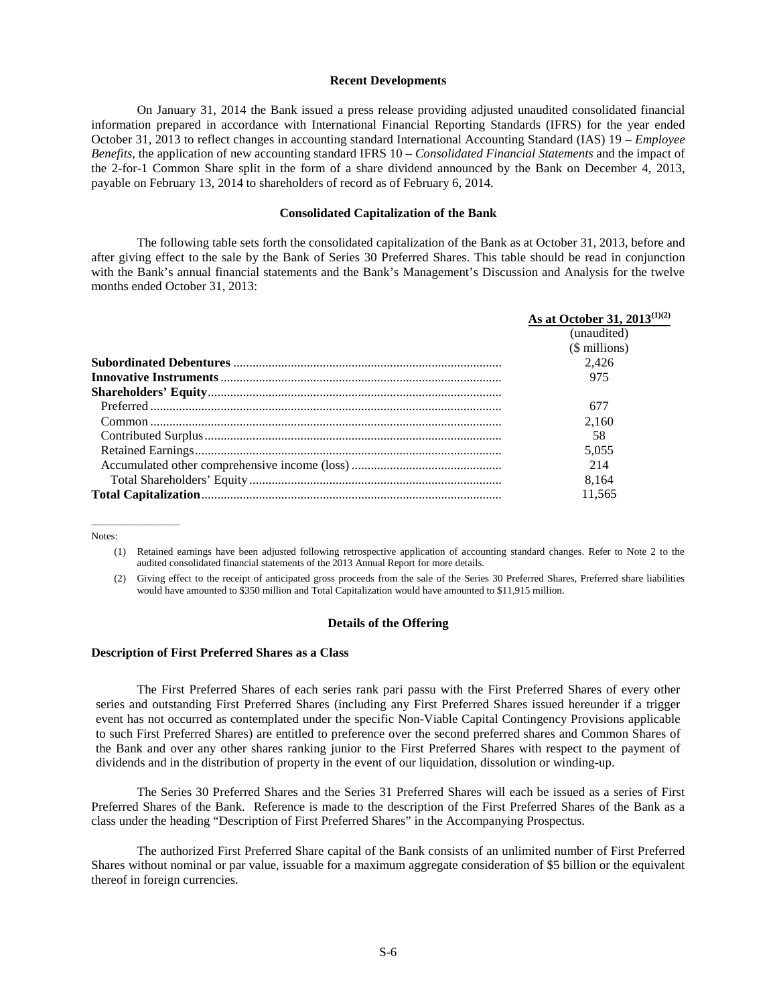#### <span id="page-5-0"></span>**Recent Developments**

On January 31, 2014 the Bank issued a press release providing adjusted unaudited consolidated financial information prepared in accordance with International Financial Reporting Standards (IFRS) for the year ended October 31, 2013 to reflect changes in accounting standard International Accounting Standard (IAS) 19 – *Employee Benefits*, the application of new accounting standard IFRS 10 – *Consolidated Financial Statements* and the impact of the 2-for-1 Common Share split in the form of a share dividend announced by the Bank on December 4, 2013, payable on February 13, 2014 to shareholders of record as of February 6, 2014.

#### <span id="page-5-1"></span>**Consolidated Capitalization of the Bank**

The following table sets forth the consolidated capitalization of the Bank as at October 31, 2013, before and after giving effect to the sale by the Bank of Series 30 Preferred Shares. This table should be read in conjunction with the Bank's annual financial statements and the Bank's Management's Discussion and Analysis for the twelve months ended October 31, 2013:

| As at October 31, 2013 <sup>(1)(2)</sup> |
|------------------------------------------|
| (unaudited)                              |
| (\$ millions)                            |
| 2.426                                    |
| 975                                      |
|                                          |
| 677                                      |
| 2.160                                    |
| 58                                       |
| 5.055                                    |
| 214                                      |
| 8.164                                    |
| 11.565                                   |

Notes:

 $\overline{\phantom{a}}$  , where  $\overline{\phantom{a}}$  , where  $\overline{\phantom{a}}$ 

- (1) Retained earnings have been adjusted following retrospective application of accounting standard changes. Refer to Note 2 to the audited consolidated financial statements of the 2013 Annual Report for more details.
- (2) Giving effect to the receipt of anticipated gross proceeds from the sale of the Series 30 Preferred Shares, Preferred share liabilities would have amounted to \$350 million and Total Capitalization would have amounted to \$11,915 million.

#### <span id="page-5-2"></span>**Details of the Offering**

#### **Description of First Preferred Shares as a Class**

The First Preferred Shares of each series rank pari passu with the First Preferred Shares of every other series and outstanding First Preferred Shares (including any First Preferred Shares issued hereunder if a trigger event has not occurred as contemplated under the specific Non-Viable Capital Contingency Provisions applicable to such First Preferred Shares) are entitled to preference over the second preferred shares and Common Shares of the Bank and over any other shares ranking junior to the First Preferred Shares with respect to the payment of dividends and in the distribution of property in the event of our liquidation, dissolution or winding-up.

The Series 30 Preferred Shares and the Series 31 Preferred Shares will each be issued as a series of First Preferred Shares of the Bank. Reference is made to the description of the First Preferred Shares of the Bank as a class under the heading "Description of First Preferred Shares" in the Accompanying Prospectus.

The authorized First Preferred Share capital of the Bank consists of an unlimited number of First Preferred Shares without nominal or par value, issuable for a maximum aggregate consideration of \$5 billion or the equivalent thereof in foreign currencies.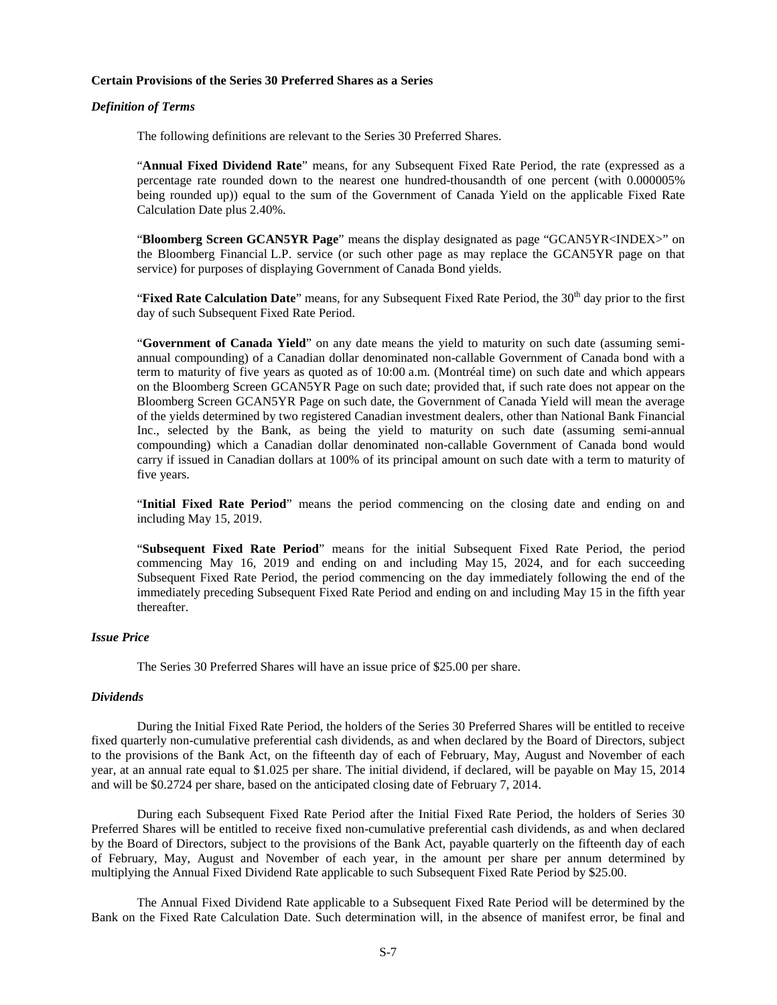### **Certain Provisions of the Series 30 Preferred Shares as a Series**

#### *Definition of Terms*

The following definitions are relevant to the Series 30 Preferred Shares.

"**Annual Fixed Dividend Rate**" means, for any Subsequent Fixed Rate Period, the rate (expressed as a percentage rate rounded down to the nearest one hundred-thousandth of one percent (with 0.000005% being rounded up)) equal to the sum of the Government of Canada Yield on the applicable Fixed Rate Calculation Date plus 2.40%.

"**Bloomberg Screen GCAN5YR Page**" means the display designated as page "GCAN5YR<INDEX>" on the Bloomberg Financial L.P. service (or such other page as may replace the GCAN5YR page on that service) for purposes of displaying Government of Canada Bond yields.

"**Fixed Rate Calculation Date**" means, for any Subsequent Fixed Rate Period, the 30<sup>th</sup> day prior to the first day of such Subsequent Fixed Rate Period.

"**Government of Canada Yield**" on any date means the yield to maturity on such date (assuming semiannual compounding) of a Canadian dollar denominated non-callable Government of Canada bond with a term to maturity of five years as quoted as of 10:00 a.m. (Montréal time) on such date and which appears on the Bloomberg Screen GCAN5YR Page on such date; provided that, if such rate does not appear on the Bloomberg Screen GCAN5YR Page on such date, the Government of Canada Yield will mean the average of the yields determined by two registered Canadian investment dealers, other than National Bank Financial Inc., selected by the Bank, as being the yield to maturity on such date (assuming semi-annual compounding) which a Canadian dollar denominated non-callable Government of Canada bond would carry if issued in Canadian dollars at 100% of its principal amount on such date with a term to maturity of five years.

"**Initial Fixed Rate Period**" means the period commencing on the closing date and ending on and including May 15, 2019.

"**Subsequent Fixed Rate Period**" means for the initial Subsequent Fixed Rate Period, the period commencing May 16, 2019 and ending on and including May 15, 2024, and for each succeeding Subsequent Fixed Rate Period, the period commencing on the day immediately following the end of the immediately preceding Subsequent Fixed Rate Period and ending on and including May 15 in the fifth year thereafter.

# *Issue Price*

The Series 30 Preferred Shares will have an issue price of \$25.00 per share.

#### *Dividends*

During the Initial Fixed Rate Period, the holders of the Series 30 Preferred Shares will be entitled to receive fixed quarterly non-cumulative preferential cash dividends, as and when declared by the Board of Directors, subject to the provisions of the Bank Act, on the fifteenth day of each of February, May, August and November of each year, at an annual rate equal to \$1.025 per share. The initial dividend, if declared, will be payable on May 15, 2014 and will be \$0.2724 per share, based on the anticipated closing date of February 7, 2014.

During each Subsequent Fixed Rate Period after the Initial Fixed Rate Period, the holders of Series 30 Preferred Shares will be entitled to receive fixed non-cumulative preferential cash dividends, as and when declared by the Board of Directors, subject to the provisions of the Bank Act, payable quarterly on the fifteenth day of each of February, May, August and November of each year, in the amount per share per annum determined by multiplying the Annual Fixed Dividend Rate applicable to such Subsequent Fixed Rate Period by \$25.00.

The Annual Fixed Dividend Rate applicable to a Subsequent Fixed Rate Period will be determined by the Bank on the Fixed Rate Calculation Date. Such determination will, in the absence of manifest error, be final and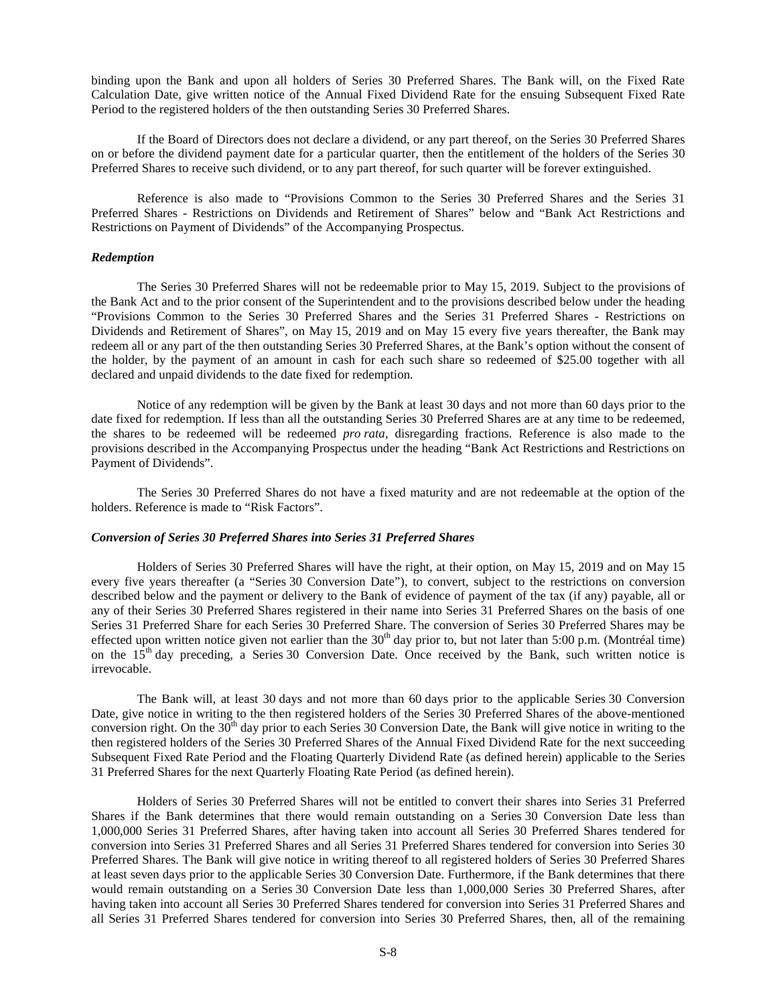binding upon the Bank and upon all holders of Series 30 Preferred Shares. The Bank will, on the Fixed Rate Calculation Date, give written notice of the Annual Fixed Dividend Rate for the ensuing Subsequent Fixed Rate Period to the registered holders of the then outstanding Series 30 Preferred Shares.

If the Board of Directors does not declare a dividend, or any part thereof, on the Series 30 Preferred Shares on or before the dividend payment date for a particular quarter, then the entitlement of the holders of the Series 30 Preferred Shares to receive such dividend, or to any part thereof, for such quarter will be forever extinguished.

Reference is also made to "Provisions Common to the Series 30 Preferred Shares and the Series 31 Preferred Shares - Restrictions on Dividends and Retirement of Shares" below and "Bank Act Restrictions and Restrictions on Payment of Dividends" of the Accompanying Prospectus.

### *Redemption*

The Series 30 Preferred Shares will not be redeemable prior to May 15, 2019. Subject to the provisions of the Bank Act and to the prior consent of the Superintendent and to the provisions described below under the heading "Provisions Common to the Series 30 Preferred Shares and the Series 31 Preferred Shares - Restrictions on Dividends and Retirement of Shares", on May 15, 2019 and on May 15 every five years thereafter, the Bank may redeem all or any part of the then outstanding Series 30 Preferred Shares, at the Bank's option without the consent of the holder, by the payment of an amount in cash for each such share so redeemed of \$25.00 together with all declared and unpaid dividends to the date fixed for redemption.

Notice of any redemption will be given by the Bank at least 30 days and not more than 60 days prior to the date fixed for redemption. If less than all the outstanding Series 30 Preferred Shares are at any time to be redeemed, the shares to be redeemed will be redeemed *pro rata*, disregarding fractions. Reference is also made to the provisions described in the Accompanying Prospectus under the heading "Bank Act Restrictions and Restrictions on Payment of Dividends".

The Series 30 Preferred Shares do not have a fixed maturity and are not redeemable at the option of the holders. Reference is made to "Risk Factors".

# *Conversion of Series 30 Preferred Shares into Series 31 Preferred Shares*

Holders of Series 30 Preferred Shares will have the right, at their option, on May 15, 2019 and on May 15 every five years thereafter (a "Series 30 Conversion Date"), to convert, subject to the restrictions on conversion described below and the payment or delivery to the Bank of evidence of payment of the tax (if any) payable, all or any of their Series 30 Preferred Shares registered in their name into Series 31 Preferred Shares on the basis of one Series 31 Preferred Share for each Series 30 Preferred Share. The conversion of Series 30 Preferred Shares may be effected upon written notice given not earlier than the  $30<sup>th</sup>$  day prior to, but not later than  $5:00$  p.m. (Montréal time) on the 15<sup>th</sup> day preceding, a Series 30 Conversion Date. Once received by the Bank, such written notice is irrevocable.

The Bank will, at least 30 days and not more than 60 days prior to the applicable Series 30 Conversion Date, give notice in writing to the then registered holders of the Series 30 Preferred Shares of the above-mentioned conversion right. On the  $30<sup>th</sup>$  day prior to each Series 30 Conversion Date, the Bank will give notice in writing to the then registered holders of the Series 30 Preferred Shares of the Annual Fixed Dividend Rate for the next succeeding Subsequent Fixed Rate Period and the Floating Quarterly Dividend Rate (as defined herein) applicable to the Series 31 Preferred Shares for the next Quarterly Floating Rate Period (as defined herein).

Holders of Series 30 Preferred Shares will not be entitled to convert their shares into Series 31 Preferred Shares if the Bank determines that there would remain outstanding on a Series 30 Conversion Date less than 1,000,000 Series 31 Preferred Shares, after having taken into account all Series 30 Preferred Shares tendered for conversion into Series 31 Preferred Shares and all Series 31 Preferred Shares tendered for conversion into Series 30 Preferred Shares. The Bank will give notice in writing thereof to all registered holders of Series 30 Preferred Shares at least seven days prior to the applicable Series 30 Conversion Date. Furthermore, if the Bank determines that there would remain outstanding on a Series 30 Conversion Date less than 1,000,000 Series 30 Preferred Shares, after having taken into account all Series 30 Preferred Shares tendered for conversion into Series 31 Preferred Shares and all Series 31 Preferred Shares tendered for conversion into Series 30 Preferred Shares, then, all of the remaining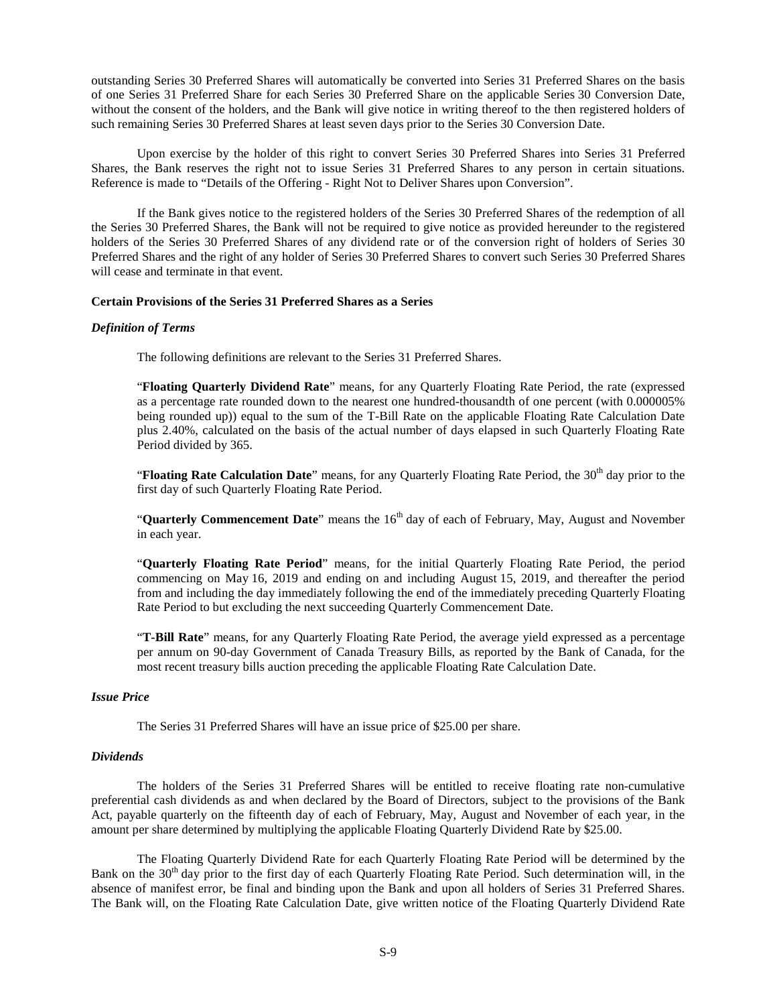outstanding Series 30 Preferred Shares will automatically be converted into Series 31 Preferred Shares on the basis of one Series 31 Preferred Share for each Series 30 Preferred Share on the applicable Series 30 Conversion Date, without the consent of the holders, and the Bank will give notice in writing thereof to the then registered holders of such remaining Series 30 Preferred Shares at least seven days prior to the Series 30 Conversion Date.

Upon exercise by the holder of this right to convert Series 30 Preferred Shares into Series 31 Preferred Shares, the Bank reserves the right not to issue Series 31 Preferred Shares to any person in certain situations. Reference is made to "Details of the Offering - Right Not to Deliver Shares upon Conversion".

If the Bank gives notice to the registered holders of the Series 30 Preferred Shares of the redemption of all the Series 30 Preferred Shares, the Bank will not be required to give notice as provided hereunder to the registered holders of the Series 30 Preferred Shares of any dividend rate or of the conversion right of holders of Series 30 Preferred Shares and the right of any holder of Series 30 Preferred Shares to convert such Series 30 Preferred Shares will cease and terminate in that event.

# **Certain Provisions of the Series 31 Preferred Shares as a Series**

# *Definition of Terms*

The following definitions are relevant to the Series 31 Preferred Shares.

"**Floating Quarterly Dividend Rate**" means, for any Quarterly Floating Rate Period, the rate (expressed as a percentage rate rounded down to the nearest one hundred-thousandth of one percent (with 0.000005% being rounded up)) equal to the sum of the T-Bill Rate on the applicable Floating Rate Calculation Date plus 2.40%, calculated on the basis of the actual number of days elapsed in such Quarterly Floating Rate Period divided by 365.

"**Floating Rate Calculation Date**" means, for any Quarterly Floating Rate Period, the 30<sup>th</sup> day prior to the first day of such Quarterly Floating Rate Period.

"**Quarterly Commencement Date**" means the 16<sup>th</sup> day of each of February, May, August and November in each year.

"**Quarterly Floating Rate Period**" means, for the initial Quarterly Floating Rate Period, the period commencing on May 16, 2019 and ending on and including August 15, 2019, and thereafter the period from and including the day immediately following the end of the immediately preceding Quarterly Floating Rate Period to but excluding the next succeeding Quarterly Commencement Date.

"**T-Bill Rate**" means, for any Quarterly Floating Rate Period, the average yield expressed as a percentage per annum on 90-day Government of Canada Treasury Bills, as reported by the Bank of Canada, for the most recent treasury bills auction preceding the applicable Floating Rate Calculation Date.

### *Issue Price*

The Series 31 Preferred Shares will have an issue price of \$25.00 per share.

# *Dividends*

The holders of the Series 31 Preferred Shares will be entitled to receive floating rate non-cumulative preferential cash dividends as and when declared by the Board of Directors, subject to the provisions of the Bank Act, payable quarterly on the fifteenth day of each of February, May, August and November of each year, in the amount per share determined by multiplying the applicable Floating Quarterly Dividend Rate by \$25.00.

The Floating Quarterly Dividend Rate for each Quarterly Floating Rate Period will be determined by the Bank on the 30<sup>th</sup> day prior to the first day of each Quarterly Floating Rate Period. Such determination will, in the absence of manifest error, be final and binding upon the Bank and upon all holders of Series 31 Preferred Shares. The Bank will, on the Floating Rate Calculation Date, give written notice of the Floating Quarterly Dividend Rate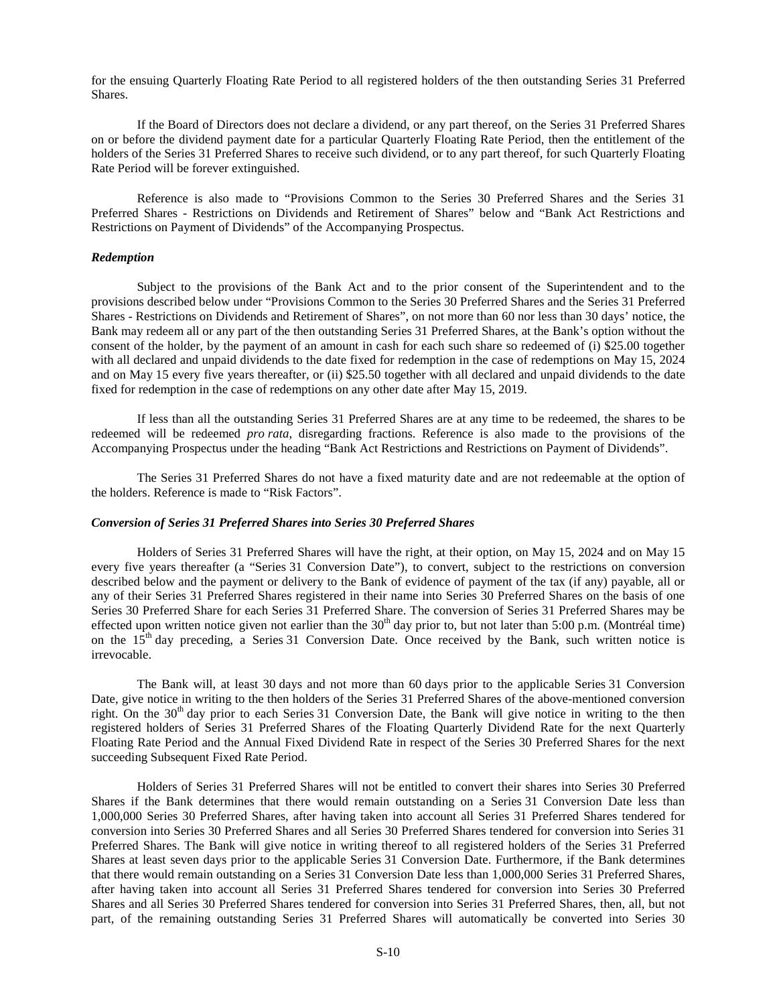for the ensuing Quarterly Floating Rate Period to all registered holders of the then outstanding Series 31 Preferred Shares.

If the Board of Directors does not declare a dividend, or any part thereof, on the Series 31 Preferred Shares on or before the dividend payment date for a particular Quarterly Floating Rate Period, then the entitlement of the holders of the Series 31 Preferred Shares to receive such dividend, or to any part thereof, for such Quarterly Floating Rate Period will be forever extinguished.

Reference is also made to "Provisions Common to the Series 30 Preferred Shares and the Series 31 Preferred Shares - Restrictions on Dividends and Retirement of Shares" below and "Bank Act Restrictions and Restrictions on Payment of Dividends" of the Accompanying Prospectus.

# *Redemption*

Subject to the provisions of the Bank Act and to the prior consent of the Superintendent and to the provisions described below under "Provisions Common to the Series 30 Preferred Shares and the Series 31 Preferred Shares - Restrictions on Dividends and Retirement of Shares", on not more than 60 nor less than 30 days' notice, the Bank may redeem all or any part of the then outstanding Series 31 Preferred Shares, at the Bank's option without the consent of the holder, by the payment of an amount in cash for each such share so redeemed of (i) \$25.00 together with all declared and unpaid dividends to the date fixed for redemption in the case of redemptions on May 15, 2024 and on May 15 every five years thereafter, or (ii) \$25.50 together with all declared and unpaid dividends to the date fixed for redemption in the case of redemptions on any other date after May 15, 2019.

If less than all the outstanding Series 31 Preferred Shares are at any time to be redeemed, the shares to be redeemed will be redeemed *pro rata*, disregarding fractions. Reference is also made to the provisions of the Accompanying Prospectus under the heading "Bank Act Restrictions and Restrictions on Payment of Dividends".

The Series 31 Preferred Shares do not have a fixed maturity date and are not redeemable at the option of the holders. Reference is made to "Risk Factors".

# *Conversion of Series 31 Preferred Shares into Series 30 Preferred Shares*

Holders of Series 31 Preferred Shares will have the right, at their option, on May 15, 2024 and on May 15 every five years thereafter (a "Series 31 Conversion Date"), to convert, subject to the restrictions on conversion described below and the payment or delivery to the Bank of evidence of payment of the tax (if any) payable, all or any of their Series 31 Preferred Shares registered in their name into Series 30 Preferred Shares on the basis of one Series 30 Preferred Share for each Series 31 Preferred Share. The conversion of Series 31 Preferred Shares may be effected upon written notice given not earlier than the  $30<sup>th</sup>$  day prior to, but not later than 5:00 p.m. (Montréal time) on the  $15<sup>th</sup>$  day preceding, a Series 31 Conversion Date. Once received by the Bank, such written notice is irrevocable.

The Bank will, at least 30 days and not more than 60 days prior to the applicable Series 31 Conversion Date, give notice in writing to the then holders of the Series 31 Preferred Shares of the above-mentioned conversion right. On the  $30<sup>th</sup>$  day prior to each Series 31 Conversion Date, the Bank will give notice in writing to the then registered holders of Series 31 Preferred Shares of the Floating Quarterly Dividend Rate for the next Quarterly Floating Rate Period and the Annual Fixed Dividend Rate in respect of the Series 30 Preferred Shares for the next succeeding Subsequent Fixed Rate Period.

Holders of Series 31 Preferred Shares will not be entitled to convert their shares into Series 30 Preferred Shares if the Bank determines that there would remain outstanding on a Series 31 Conversion Date less than 1,000,000 Series 30 Preferred Shares, after having taken into account all Series 31 Preferred Shares tendered for conversion into Series 30 Preferred Shares and all Series 30 Preferred Shares tendered for conversion into Series 31 Preferred Shares. The Bank will give notice in writing thereof to all registered holders of the Series 31 Preferred Shares at least seven days prior to the applicable Series 31 Conversion Date. Furthermore, if the Bank determines that there would remain outstanding on a Series 31 Conversion Date less than 1,000,000 Series 31 Preferred Shares, after having taken into account all Series 31 Preferred Shares tendered for conversion into Series 30 Preferred Shares and all Series 30 Preferred Shares tendered for conversion into Series 31 Preferred Shares, then, all, but not part, of the remaining outstanding Series 31 Preferred Shares will automatically be converted into Series 30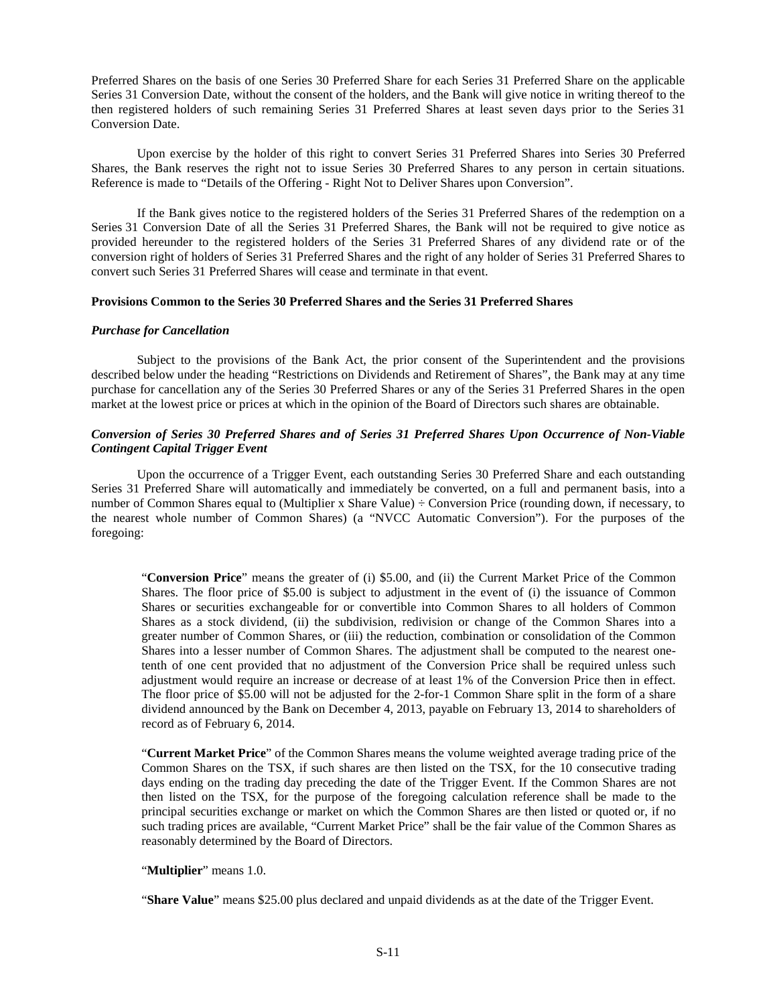Preferred Shares on the basis of one Series 30 Preferred Share for each Series 31 Preferred Share on the applicable Series 31 Conversion Date, without the consent of the holders, and the Bank will give notice in writing thereof to the then registered holders of such remaining Series 31 Preferred Shares at least seven days prior to the Series 31 Conversion Date.

Upon exercise by the holder of this right to convert Series 31 Preferred Shares into Series 30 Preferred Shares, the Bank reserves the right not to issue Series 30 Preferred Shares to any person in certain situations. Reference is made to "Details of the Offering - Right Not to Deliver Shares upon Conversion".

If the Bank gives notice to the registered holders of the Series 31 Preferred Shares of the redemption on a Series 31 Conversion Date of all the Series 31 Preferred Shares, the Bank will not be required to give notice as provided hereunder to the registered holders of the Series 31 Preferred Shares of any dividend rate or of the conversion right of holders of Series 31 Preferred Shares and the right of any holder of Series 31 Preferred Shares to convert such Series 31 Preferred Shares will cease and terminate in that event.

# **Provisions Common to the Series 30 Preferred Shares and the Series 31 Preferred Shares**

### *Purchase for Cancellation*

Subject to the provisions of the Bank Act, the prior consent of the Superintendent and the provisions described below under the heading "Restrictions on Dividends and Retirement of Shares", the Bank may at any time purchase for cancellation any of the Series 30 Preferred Shares or any of the Series 31 Preferred Shares in the open market at the lowest price or prices at which in the opinion of the Board of Directors such shares are obtainable.

# *Conversion of Series 30 Preferred Shares and of Series 31 Preferred Shares Upon Occurrence of Non-Viable Contingent Capital Trigger Event*

Upon the occurrence of a Trigger Event, each outstanding Series 30 Preferred Share and each outstanding Series 31 Preferred Share will automatically and immediately be converted, on a full and permanent basis, into a number of Common Shares equal to (Multiplier x Share Value) ÷ Conversion Price (rounding down, if necessary, to the nearest whole number of Common Shares) (a "NVCC Automatic Conversion"). For the purposes of the foregoing:

"**Conversion Price**" means the greater of (i) \$5.00, and (ii) the Current Market Price of the Common Shares. The floor price of \$5.00 is subject to adjustment in the event of (i) the issuance of Common Shares or securities exchangeable for or convertible into Common Shares to all holders of Common Shares as a stock dividend, (ii) the subdivision, redivision or change of the Common Shares into a greater number of Common Shares, or (iii) the reduction, combination or consolidation of the Common Shares into a lesser number of Common Shares. The adjustment shall be computed to the nearest onetenth of one cent provided that no adjustment of the Conversion Price shall be required unless such adjustment would require an increase or decrease of at least 1% of the Conversion Price then in effect. The floor price of \$5.00 will not be adjusted for the 2-for-1 Common Share split in the form of a share dividend announced by the Bank on December 4, 2013, payable on February 13, 2014 to shareholders of record as of February 6, 2014.

"**Current Market Price**" of the Common Shares means the volume weighted average trading price of the Common Shares on the TSX, if such shares are then listed on the TSX, for the 10 consecutive trading days ending on the trading day preceding the date of the Trigger Event. If the Common Shares are not then listed on the TSX, for the purpose of the foregoing calculation reference shall be made to the principal securities exchange or market on which the Common Shares are then listed or quoted or, if no such trading prices are available, "Current Market Price" shall be the fair value of the Common Shares as reasonably determined by the Board of Directors.

#### "**Multiplier**" means 1.0.

"**Share Value**" means \$25.00 plus declared and unpaid dividends as at the date of the Trigger Event.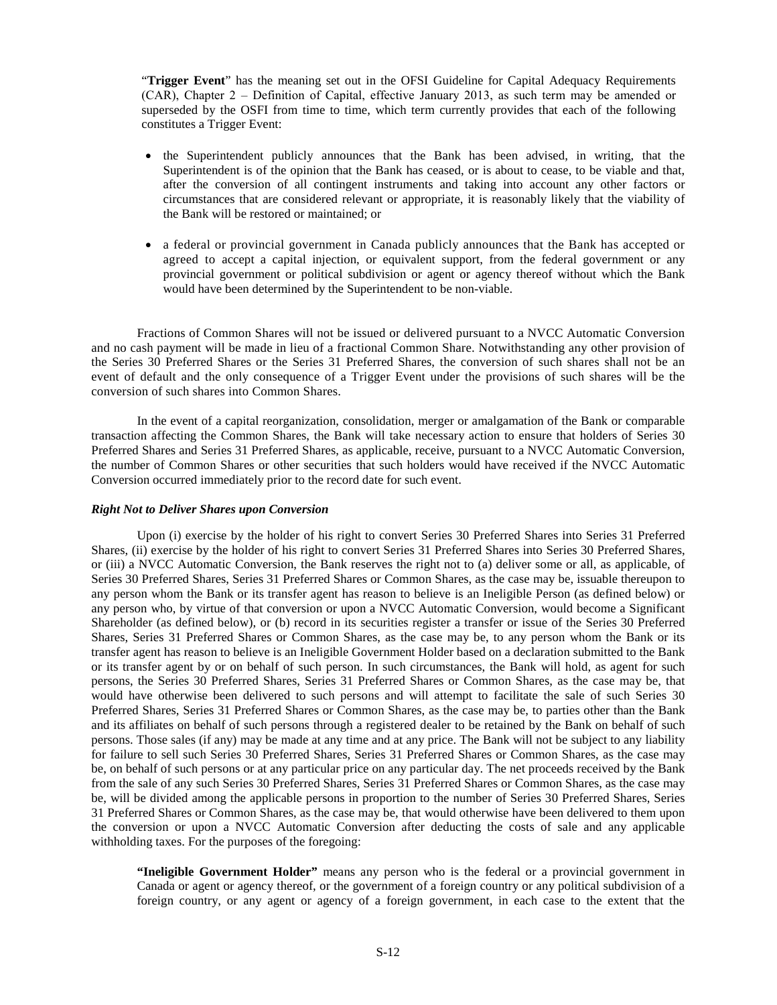"**Trigger Event**" has the meaning set out in the OFSI Guideline for Capital Adequacy Requirements (CAR), Chapter 2 ‒ Definition of Capital, effective January 2013, as such term may be amended or superseded by the OSFI from time to time, which term currently provides that each of the following constitutes a Trigger Event:

- the Superintendent publicly announces that the Bank has been advised, in writing, that the Superintendent is of the opinion that the Bank has ceased, or is about to cease, to be viable and that, after the conversion of all contingent instruments and taking into account any other factors or circumstances that are considered relevant or appropriate, it is reasonably likely that the viability of the Bank will be restored or maintained; or
- a federal or provincial government in Canada publicly announces that the Bank has accepted or agreed to accept a capital injection, or equivalent support, from the federal government or any provincial government or political subdivision or agent or agency thereof without which the Bank would have been determined by the Superintendent to be non-viable.

Fractions of Common Shares will not be issued or delivered pursuant to a NVCC Automatic Conversion and no cash payment will be made in lieu of a fractional Common Share. Notwithstanding any other provision of the Series 30 Preferred Shares or the Series 31 Preferred Shares, the conversion of such shares shall not be an event of default and the only consequence of a Trigger Event under the provisions of such shares will be the conversion of such shares into Common Shares.

In the event of a capital reorganization, consolidation, merger or amalgamation of the Bank or comparable transaction affecting the Common Shares, the Bank will take necessary action to ensure that holders of Series 30 Preferred Shares and Series 31 Preferred Shares, as applicable, receive, pursuant to a NVCC Automatic Conversion, the number of Common Shares or other securities that such holders would have received if the NVCC Automatic Conversion occurred immediately prior to the record date for such event.

# *Right Not to Deliver Shares upon Conversion*

Upon (i) exercise by the holder of his right to convert Series 30 Preferred Shares into Series 31 Preferred Shares, (ii) exercise by the holder of his right to convert Series 31 Preferred Shares into Series 30 Preferred Shares, or (iii) a NVCC Automatic Conversion, the Bank reserves the right not to (a) deliver some or all, as applicable, of Series 30 Preferred Shares, Series 31 Preferred Shares or Common Shares, as the case may be, issuable thereupon to any person whom the Bank or its transfer agent has reason to believe is an Ineligible Person (as defined below) or any person who, by virtue of that conversion or upon a NVCC Automatic Conversion, would become a Significant Shareholder (as defined below), or (b) record in its securities register a transfer or issue of the Series 30 Preferred Shares, Series 31 Preferred Shares or Common Shares, as the case may be, to any person whom the Bank or its transfer agent has reason to believe is an Ineligible Government Holder based on a declaration submitted to the Bank or its transfer agent by or on behalf of such person. In such circumstances, the Bank will hold, as agent for such persons, the Series 30 Preferred Shares, Series 31 Preferred Shares or Common Shares, as the case may be, that would have otherwise been delivered to such persons and will attempt to facilitate the sale of such Series 30 Preferred Shares, Series 31 Preferred Shares or Common Shares, as the case may be, to parties other than the Bank and its affiliates on behalf of such persons through a registered dealer to be retained by the Bank on behalf of such persons. Those sales (if any) may be made at any time and at any price. The Bank will not be subject to any liability for failure to sell such Series 30 Preferred Shares, Series 31 Preferred Shares or Common Shares, as the case may be, on behalf of such persons or at any particular price on any particular day. The net proceeds received by the Bank from the sale of any such Series 30 Preferred Shares, Series 31 Preferred Shares or Common Shares, as the case may be, will be divided among the applicable persons in proportion to the number of Series 30 Preferred Shares, Series 31 Preferred Shares or Common Shares, as the case may be, that would otherwise have been delivered to them upon the conversion or upon a NVCC Automatic Conversion after deducting the costs of sale and any applicable withholding taxes. For the purposes of the foregoing:

**"Ineligible Government Holder"** means any person who is the federal or a provincial government in Canada or agent or agency thereof, or the government of a foreign country or any political subdivision of a foreign country, or any agent or agency of a foreign government, in each case to the extent that the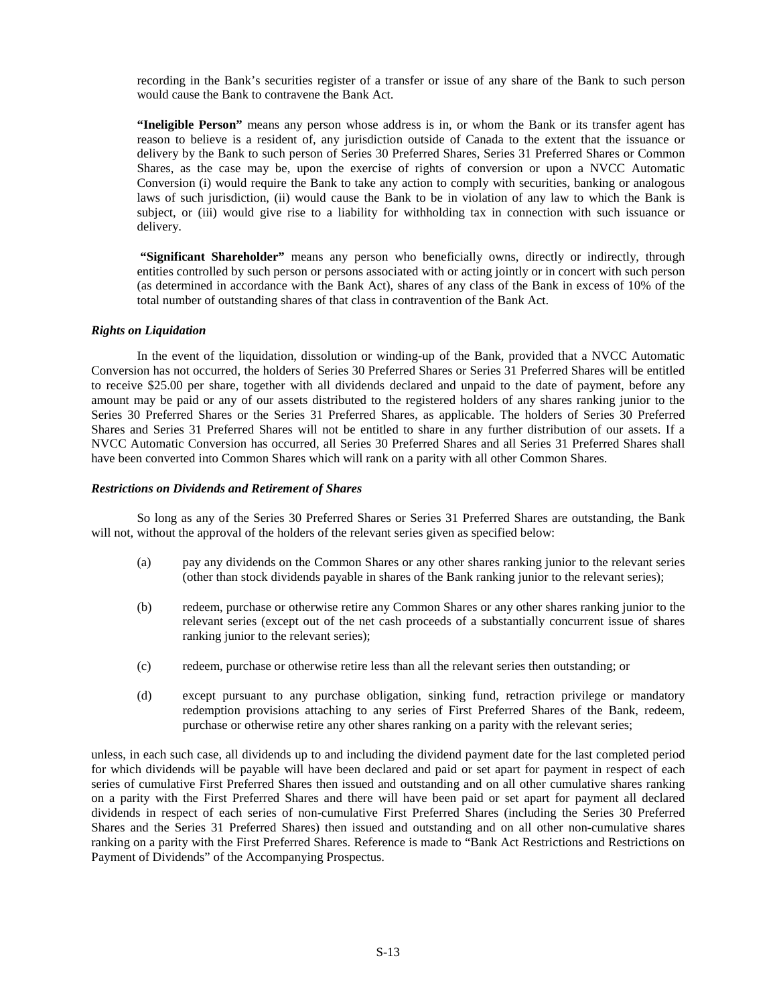recording in the Bank's securities register of a transfer or issue of any share of the Bank to such person would cause the Bank to contravene the Bank Act.

**"Ineligible Person"** means any person whose address is in, or whom the Bank or its transfer agent has reason to believe is a resident of, any jurisdiction outside of Canada to the extent that the issuance or delivery by the Bank to such person of Series 30 Preferred Shares, Series 31 Preferred Shares or Common Shares, as the case may be, upon the exercise of rights of conversion or upon a NVCC Automatic Conversion (i) would require the Bank to take any action to comply with securities, banking or analogous laws of such jurisdiction, (ii) would cause the Bank to be in violation of any law to which the Bank is subject, or (iii) would give rise to a liability for withholding tax in connection with such issuance or delivery.

**"Significant Shareholder"** means any person who beneficially owns, directly or indirectly, through entities controlled by such person or persons associated with or acting jointly or in concert with such person (as determined in accordance with the Bank Act), shares of any class of the Bank in excess of 10% of the total number of outstanding shares of that class in contravention of the Bank Act.

# *Rights on Liquidation*

In the event of the liquidation, dissolution or winding-up of the Bank, provided that a NVCC Automatic Conversion has not occurred, the holders of Series 30 Preferred Shares or Series 31 Preferred Shares will be entitled to receive \$25.00 per share, together with all dividends declared and unpaid to the date of payment, before any amount may be paid or any of our assets distributed to the registered holders of any shares ranking junior to the Series 30 Preferred Shares or the Series 31 Preferred Shares, as applicable. The holders of Series 30 Preferred Shares and Series 31 Preferred Shares will not be entitled to share in any further distribution of our assets. If a NVCC Automatic Conversion has occurred, all Series 30 Preferred Shares and all Series 31 Preferred Shares shall have been converted into Common Shares which will rank on a parity with all other Common Shares.

# *Restrictions on Dividends and Retirement of Shares*

So long as any of the Series 30 Preferred Shares or Series 31 Preferred Shares are outstanding, the Bank will not, without the approval of the holders of the relevant series given as specified below:

- (a) pay any dividends on the Common Shares or any other shares ranking junior to the relevant series (other than stock dividends payable in shares of the Bank ranking junior to the relevant series);
- (b) redeem, purchase or otherwise retire any Common Shares or any other shares ranking junior to the relevant series (except out of the net cash proceeds of a substantially concurrent issue of shares ranking junior to the relevant series);
- (c) redeem, purchase or otherwise retire less than all the relevant series then outstanding; or
- (d) except pursuant to any purchase obligation, sinking fund, retraction privilege or mandatory redemption provisions attaching to any series of First Preferred Shares of the Bank, redeem, purchase or otherwise retire any other shares ranking on a parity with the relevant series;

unless, in each such case, all dividends up to and including the dividend payment date for the last completed period for which dividends will be payable will have been declared and paid or set apart for payment in respect of each series of cumulative First Preferred Shares then issued and outstanding and on all other cumulative shares ranking on a parity with the First Preferred Shares and there will have been paid or set apart for payment all declared dividends in respect of each series of non-cumulative First Preferred Shares (including the Series 30 Preferred Shares and the Series 31 Preferred Shares) then issued and outstanding and on all other non-cumulative shares ranking on a parity with the First Preferred Shares. Reference is made to "Bank Act Restrictions and Restrictions on Payment of Dividends" of the Accompanying Prospectus.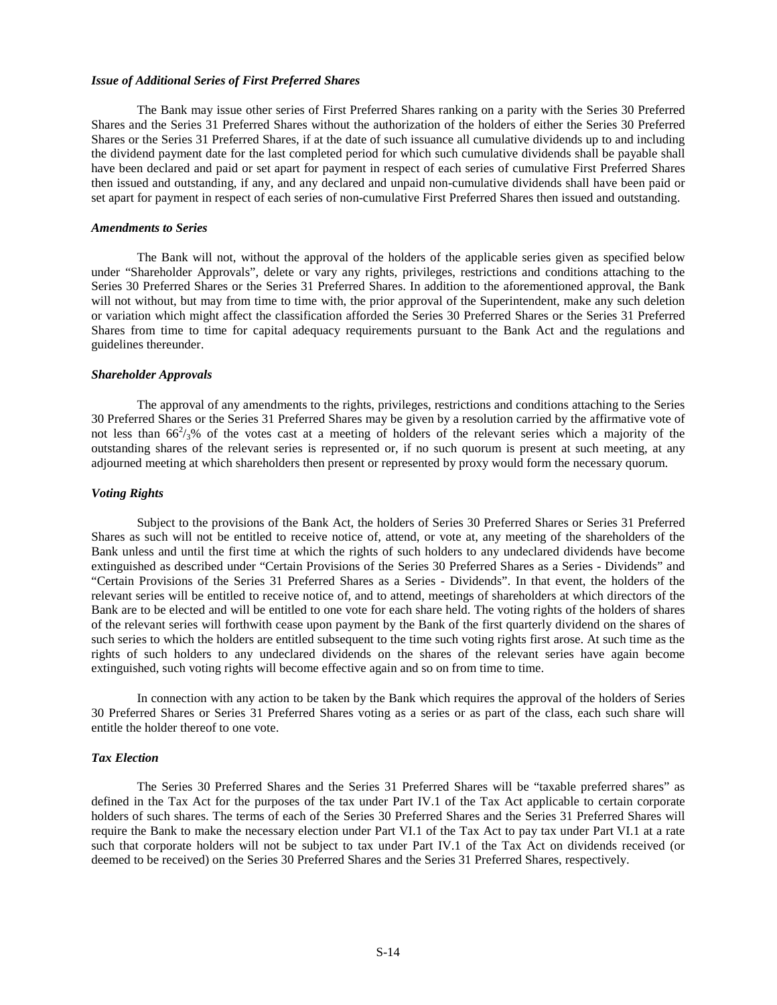#### *Issue of Additional Series of First Preferred Shares*

The Bank may issue other series of First Preferred Shares ranking on a parity with the Series 30 Preferred Shares and the Series 31 Preferred Shares without the authorization of the holders of either the Series 30 Preferred Shares or the Series 31 Preferred Shares, if at the date of such issuance all cumulative dividends up to and including the dividend payment date for the last completed period for which such cumulative dividends shall be payable shall have been declared and paid or set apart for payment in respect of each series of cumulative First Preferred Shares then issued and outstanding, if any, and any declared and unpaid non-cumulative dividends shall have been paid or set apart for payment in respect of each series of non-cumulative First Preferred Shares then issued and outstanding.

#### *Amendments to Series*

The Bank will not, without the approval of the holders of the applicable series given as specified below under "Shareholder Approvals", delete or vary any rights, privileges, restrictions and conditions attaching to the Series 30 Preferred Shares or the Series 31 Preferred Shares. In addition to the aforementioned approval, the Bank will not without, but may from time to time with, the prior approval of the Superintendent, make any such deletion or variation which might affect the classification afforded the Series 30 Preferred Shares or the Series 31 Preferred Shares from time to time for capital adequacy requirements pursuant to the Bank Act and the regulations and guidelines thereunder.

#### *Shareholder Approvals*

The approval of any amendments to the rights, privileges, restrictions and conditions attaching to the Series 30 Preferred Shares or the Series 31 Preferred Shares may be given by a resolution carried by the affirmative vote of not less than  $66^2/3\%$  of the votes cast at a meeting of holders of the relevant series which a majority of the outstanding shares of the relevant series is represented or, if no such quorum is present at such meeting, at any adjourned meeting at which shareholders then present or represented by proxy would form the necessary quorum.

#### *Voting Rights*

Subject to the provisions of the Bank Act, the holders of Series 30 Preferred Shares or Series 31 Preferred Shares as such will not be entitled to receive notice of, attend, or vote at, any meeting of the shareholders of the Bank unless and until the first time at which the rights of such holders to any undeclared dividends have become extinguished as described under "Certain Provisions of the Series 30 Preferred Shares as a Series - Dividends" and "Certain Provisions of the Series 31 Preferred Shares as a Series - Dividends". In that event, the holders of the relevant series will be entitled to receive notice of, and to attend, meetings of shareholders at which directors of the Bank are to be elected and will be entitled to one vote for each share held. The voting rights of the holders of shares of the relevant series will forthwith cease upon payment by the Bank of the first quarterly dividend on the shares of such series to which the holders are entitled subsequent to the time such voting rights first arose. At such time as the rights of such holders to any undeclared dividends on the shares of the relevant series have again become extinguished, such voting rights will become effective again and so on from time to time.

In connection with any action to be taken by the Bank which requires the approval of the holders of Series 30 Preferred Shares or Series 31 Preferred Shares voting as a series or as part of the class, each such share will entitle the holder thereof to one vote.

### *Tax Election*

The Series 30 Preferred Shares and the Series 31 Preferred Shares will be "taxable preferred shares" as defined in the Tax Act for the purposes of the tax under Part IV.1 of the Tax Act applicable to certain corporate holders of such shares. The terms of each of the Series 30 Preferred Shares and the Series 31 Preferred Shares will require the Bank to make the necessary election under Part VI.1 of the Tax Act to pay tax under Part VI.1 at a rate such that corporate holders will not be subject to tax under Part IV.1 of the Tax Act on dividends received (or deemed to be received) on the Series 30 Preferred Shares and the Series 31 Preferred Shares, respectively.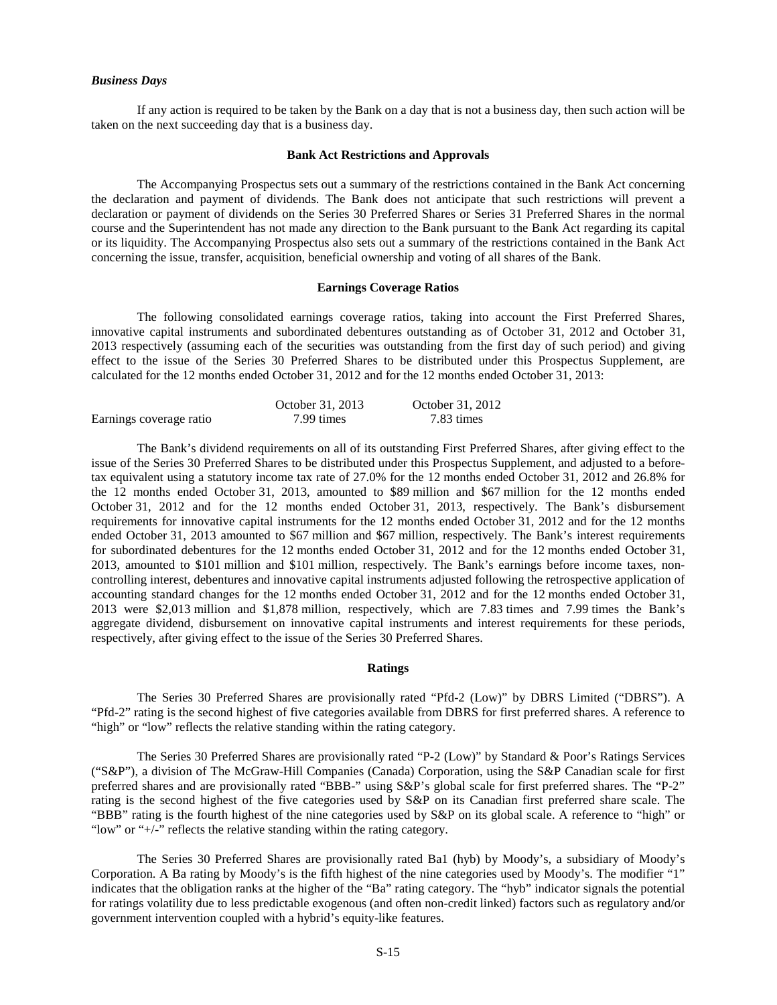#### *Business Days*

If any action is required to be taken by the Bank on a day that is not a business day, then such action will be taken on the next succeeding day that is a business day.

# <span id="page-14-0"></span>**Bank Act Restrictions and Approvals**

The Accompanying Prospectus sets out a summary of the restrictions contained in the Bank Act concerning the declaration and payment of dividends. The Bank does not anticipate that such restrictions will prevent a declaration or payment of dividends on the Series 30 Preferred Shares or Series 31 Preferred Shares in the normal course and the Superintendent has not made any direction to the Bank pursuant to the Bank Act regarding its capital or its liquidity. The Accompanying Prospectus also sets out a summary of the restrictions contained in the Bank Act concerning the issue, transfer, acquisition, beneficial ownership and voting of all shares of the Bank.

# <span id="page-14-1"></span>**Earnings Coverage Ratios**

The following consolidated earnings coverage ratios, taking into account the First Preferred Shares, innovative capital instruments and subordinated debentures outstanding as of October 31, 2012 and October 31, 2013 respectively (assuming each of the securities was outstanding from the first day of such period) and giving effect to the issue of the Series 30 Preferred Shares to be distributed under this Prospectus Supplement, are calculated for the 12 months ended October 31, 2012 and for the 12 months ended October 31, 2013:

|                         | October 31, 2013 | October 31, 2012 |
|-------------------------|------------------|------------------|
| Earnings coverage ratio | 7.99 times       | 7.83 times       |

The Bank's dividend requirements on all of its outstanding First Preferred Shares, after giving effect to the issue of the Series 30 Preferred Shares to be distributed under this Prospectus Supplement, and adjusted to a beforetax equivalent using a statutory income tax rate of 27.0% for the 12 months ended October 31, 2012 and 26.8% for the 12 months ended October 31, 2013, amounted to \$89 million and \$67 million for the 12 months ended October 31, 2012 and for the 12 months ended October 31, 2013, respectively. The Bank's disbursement requirements for innovative capital instruments for the 12 months ended October 31, 2012 and for the 12 months ended October 31, 2013 amounted to \$67 million and \$67 million, respectively. The Bank's interest requirements for subordinated debentures for the 12 months ended October 31, 2012 and for the 12 months ended October 31, 2013, amounted to \$101 million and \$101 million, respectively. The Bank's earnings before income taxes, noncontrolling interest, debentures and innovative capital instruments adjusted following the retrospective application of accounting standard changes for the 12 months ended October 31, 2012 and for the 12 months ended October 31, 2013 were \$2,013 million and \$1,878 million, respectively, which are 7.83 times and 7.99 times the Bank's aggregate dividend, disbursement on innovative capital instruments and interest requirements for these periods, respectively, after giving effect to the issue of the Series 30 Preferred Shares.

### <span id="page-14-2"></span>**Ratings**

The Series 30 Preferred Shares are provisionally rated "Pfd-2 (Low)" by DBRS Limited ("DBRS"). A "Pfd-2" rating is the second highest of five categories available from DBRS for first preferred shares. A reference to "high" or "low" reflects the relative standing within the rating category.

The Series 30 Preferred Shares are provisionally rated "P-2 (Low)" by Standard & Poor's Ratings Services ("S&P"), a division of The McGraw-Hill Companies (Canada) Corporation, using the S&P Canadian scale for first preferred shares and are provisionally rated "BBB-" using S&P's global scale for first preferred shares. The "P-2" rating is the second highest of the five categories used by S&P on its Canadian first preferred share scale. The "BBB" rating is the fourth highest of the nine categories used by S&P on its global scale. A reference to "high" or "low" or "+/-" reflects the relative standing within the rating category.

The Series 30 Preferred Shares are provisionally rated Ba1 (hyb) by Moody's, a subsidiary of Moody's Corporation. A Ba rating by Moody's is the fifth highest of the nine categories used by Moody's. The modifier "1" indicates that the obligation ranks at the higher of the "Ba" rating category. The "hyb" indicator signals the potential for ratings volatility due to less predictable exogenous (and often non-credit linked) factors such as regulatory and/or government intervention coupled with a hybrid's equity-like features.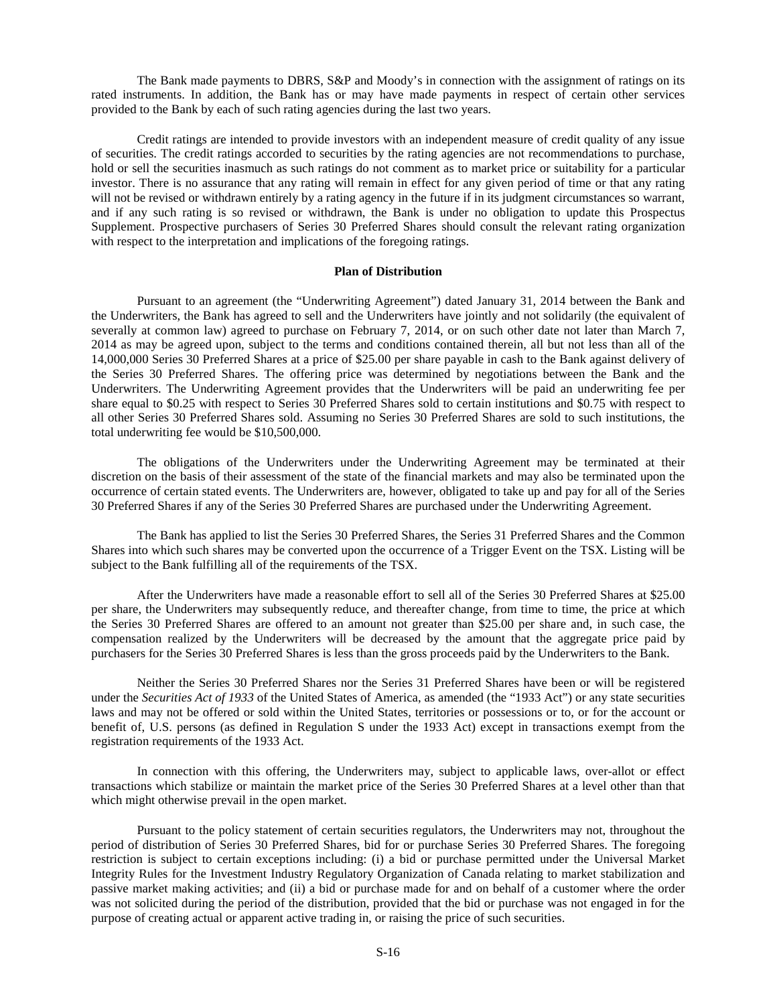The Bank made payments to DBRS, S&P and Moody's in connection with the assignment of ratings on its rated instruments. In addition, the Bank has or may have made payments in respect of certain other services provided to the Bank by each of such rating agencies during the last two years.

Credit ratings are intended to provide investors with an independent measure of credit quality of any issue of securities. The credit ratings accorded to securities by the rating agencies are not recommendations to purchase, hold or sell the securities inasmuch as such ratings do not comment as to market price or suitability for a particular investor. There is no assurance that any rating will remain in effect for any given period of time or that any rating will not be revised or withdrawn entirely by a rating agency in the future if in its judgment circumstances so warrant, and if any such rating is so revised or withdrawn, the Bank is under no obligation to update this Prospectus Supplement. Prospective purchasers of Series 30 Preferred Shares should consult the relevant rating organization with respect to the interpretation and implications of the foregoing ratings.

# <span id="page-15-0"></span>**Plan of Distribution**

Pursuant to an agreement (the "Underwriting Agreement") dated January 31, 2014 between the Bank and the Underwriters, the Bank has agreed to sell and the Underwriters have jointly and not solidarily (the equivalent of severally at common law) agreed to purchase on February 7, 2014, or on such other date not later than March 7, 2014 as may be agreed upon, subject to the terms and conditions contained therein, all but not less than all of the 14,000,000 Series 30 Preferred Shares at a price of \$25.00 per share payable in cash to the Bank against delivery of the Series 30 Preferred Shares. The offering price was determined by negotiations between the Bank and the Underwriters. The Underwriting Agreement provides that the Underwriters will be paid an underwriting fee per share equal to \$0.25 with respect to Series 30 Preferred Shares sold to certain institutions and \$0.75 with respect to all other Series 30 Preferred Shares sold. Assuming no Series 30 Preferred Shares are sold to such institutions, the total underwriting fee would be \$10,500,000.

The obligations of the Underwriters under the Underwriting Agreement may be terminated at their discretion on the basis of their assessment of the state of the financial markets and may also be terminated upon the occurrence of certain stated events. The Underwriters are, however, obligated to take up and pay for all of the Series 30 Preferred Shares if any of the Series 30 Preferred Shares are purchased under the Underwriting Agreement.

The Bank has applied to list the Series 30 Preferred Shares, the Series 31 Preferred Shares and the Common Shares into which such shares may be converted upon the occurrence of a Trigger Event on the TSX. Listing will be subject to the Bank fulfilling all of the requirements of the TSX.

After the Underwriters have made a reasonable effort to sell all of the Series 30 Preferred Shares at \$25.00 per share, the Underwriters may subsequently reduce, and thereafter change, from time to time, the price at which the Series 30 Preferred Shares are offered to an amount not greater than \$25.00 per share and, in such case, the compensation realized by the Underwriters will be decreased by the amount that the aggregate price paid by purchasers for the Series 30 Preferred Shares is less than the gross proceeds paid by the Underwriters to the Bank.

Neither the Series 30 Preferred Shares nor the Series 31 Preferred Shares have been or will be registered under the *Securities Act of 1933* of the United States of America, as amended (the "1933 Act") or any state securities laws and may not be offered or sold within the United States, territories or possessions or to, or for the account or benefit of, U.S. persons (as defined in Regulation S under the 1933 Act) except in transactions exempt from the registration requirements of the 1933 Act.

In connection with this offering, the Underwriters may, subject to applicable laws, over-allot or effect transactions which stabilize or maintain the market price of the Series 30 Preferred Shares at a level other than that which might otherwise prevail in the open market.

Pursuant to the policy statement of certain securities regulators, the Underwriters may not, throughout the period of distribution of Series 30 Preferred Shares, bid for or purchase Series 30 Preferred Shares. The foregoing restriction is subject to certain exceptions including: (i) a bid or purchase permitted under the Universal Market Integrity Rules for the Investment Industry Regulatory Organization of Canada relating to market stabilization and passive market making activities; and (ii) a bid or purchase made for and on behalf of a customer where the order was not solicited during the period of the distribution, provided that the bid or purchase was not engaged in for the purpose of creating actual or apparent active trading in, or raising the price of such securities.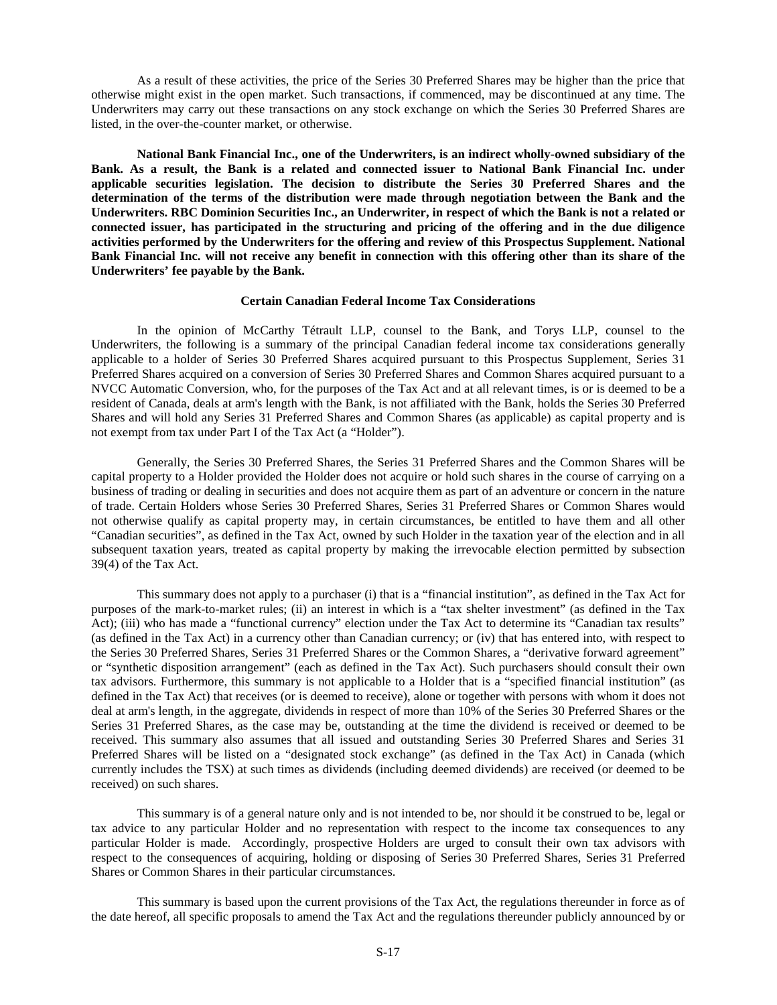As a result of these activities, the price of the Series 30 Preferred Shares may be higher than the price that otherwise might exist in the open market. Such transactions, if commenced, may be discontinued at any time. The Underwriters may carry out these transactions on any stock exchange on which the Series 30 Preferred Shares are listed, in the over-the-counter market, or otherwise.

**National Bank Financial Inc., one of the Underwriters, is an indirect wholly-owned subsidiary of the Bank. As a result, the Bank is a related and connected issuer to National Bank Financial Inc. under applicable securities legislation. The decision to distribute the Series 30 Preferred Shares and the determination of the terms of the distribution were made through negotiation between the Bank and the Underwriters. RBC Dominion Securities Inc., an Underwriter, in respect of which the Bank is not a related or connected issuer, has participated in the structuring and pricing of the offering and in the due diligence activities performed by the Underwriters for the offering and review of this Prospectus Supplement. National Bank Financial Inc. will not receive any benefit in connection with this offering other than its share of the Underwriters' fee payable by the Bank.**

# <span id="page-16-0"></span>**Certain Canadian Federal Income Tax Considerations**

In the opinion of McCarthy Tétrault LLP, counsel to the Bank, and Torys LLP, counsel to the Underwriters, the following is a summary of the principal Canadian federal income tax considerations generally applicable to a holder of Series 30 Preferred Shares acquired pursuant to this Prospectus Supplement, Series 31 Preferred Shares acquired on a conversion of Series 30 Preferred Shares and Common Shares acquired pursuant to a NVCC Automatic Conversion, who, for the purposes of the Tax Act and at all relevant times, is or is deemed to be a resident of Canada, deals at arm's length with the Bank, is not affiliated with the Bank, holds the Series 30 Preferred Shares and will hold any Series 31 Preferred Shares and Common Shares (as applicable) as capital property and is not exempt from tax under Part I of the Tax Act (a "Holder").

Generally, the Series 30 Preferred Shares, the Series 31 Preferred Shares and the Common Shares will be capital property to a Holder provided the Holder does not acquire or hold such shares in the course of carrying on a business of trading or dealing in securities and does not acquire them as part of an adventure or concern in the nature of trade. Certain Holders whose Series 30 Preferred Shares, Series 31 Preferred Shares or Common Shares would not otherwise qualify as capital property may, in certain circumstances, be entitled to have them and all other "Canadian securities", as defined in the Tax Act, owned by such Holder in the taxation year of the election and in all subsequent taxation years, treated as capital property by making the irrevocable election permitted by subsection 39(4) of the Tax Act.

This summary does not apply to a purchaser (i) that is a "financial institution", as defined in the Tax Act for purposes of the mark-to-market rules; (ii) an interest in which is a "tax shelter investment" (as defined in the Tax Act); (iii) who has made a "functional currency" election under the Tax Act to determine its "Canadian tax results" (as defined in the Tax Act) in a currency other than Canadian currency; or (iv) that has entered into, with respect to the Series 30 Preferred Shares, Series 31 Preferred Shares or the Common Shares, a "derivative forward agreement" or "synthetic disposition arrangement" (each as defined in the Tax Act). Such purchasers should consult their own tax advisors. Furthermore, this summary is not applicable to a Holder that is a "specified financial institution" (as defined in the Tax Act) that receives (or is deemed to receive), alone or together with persons with whom it does not deal at arm's length, in the aggregate, dividends in respect of more than 10% of the Series 30 Preferred Shares or the Series 31 Preferred Shares, as the case may be, outstanding at the time the dividend is received or deemed to be received. This summary also assumes that all issued and outstanding Series 30 Preferred Shares and Series 31 Preferred Shares will be listed on a "designated stock exchange" (as defined in the Tax Act) in Canada (which currently includes the TSX) at such times as dividends (including deemed dividends) are received (or deemed to be received) on such shares.

This summary is of a general nature only and is not intended to be, nor should it be construed to be, legal or tax advice to any particular Holder and no representation with respect to the income tax consequences to any particular Holder is made. Accordingly, prospective Holders are urged to consult their own tax advisors with respect to the consequences of acquiring, holding or disposing of Series 30 Preferred Shares, Series 31 Preferred Shares or Common Shares in their particular circumstances.

This summary is based upon the current provisions of the Tax Act, the regulations thereunder in force as of the date hereof, all specific proposals to amend the Tax Act and the regulations thereunder publicly announced by or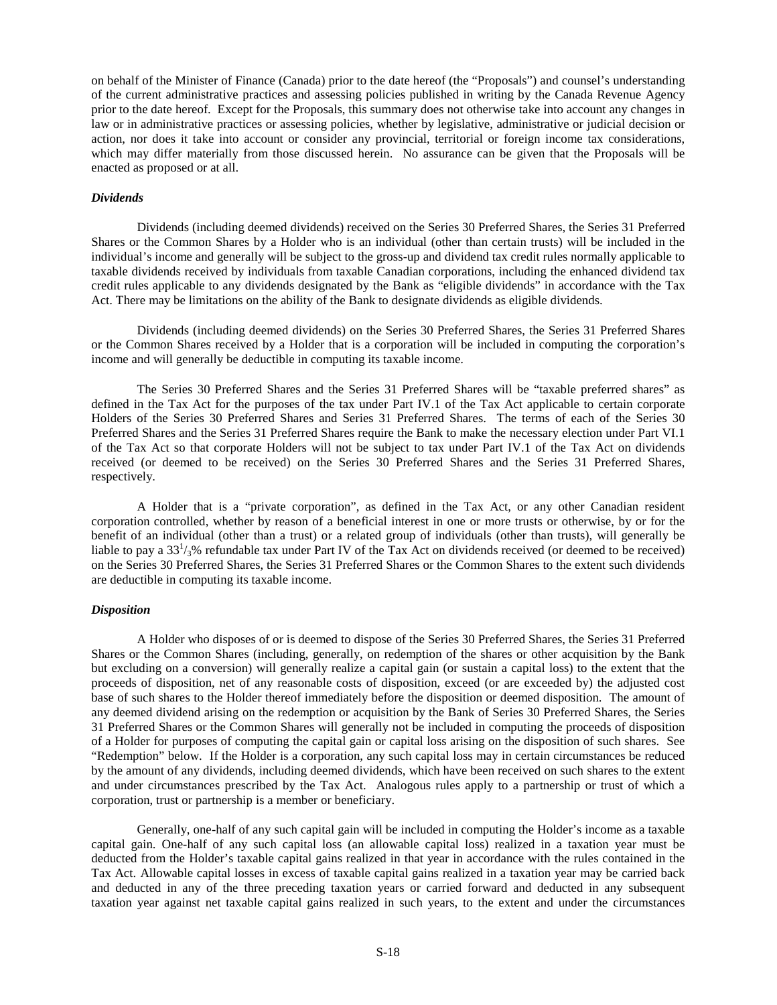on behalf of the Minister of Finance (Canada) prior to the date hereof (the "Proposals") and counsel's understanding of the current administrative practices and assessing policies published in writing by the Canada Revenue Agency prior to the date hereof. Except for the Proposals, this summary does not otherwise take into account any changes in law or in administrative practices or assessing policies, whether by legislative, administrative or judicial decision or action, nor does it take into account or consider any provincial, territorial or foreign income tax considerations, which may differ materially from those discussed herein. No assurance can be given that the Proposals will be enacted as proposed or at all.

### *Dividends*

Dividends (including deemed dividends) received on the Series 30 Preferred Shares, the Series 31 Preferred Shares or the Common Shares by a Holder who is an individual (other than certain trusts) will be included in the individual's income and generally will be subject to the gross-up and dividend tax credit rules normally applicable to taxable dividends received by individuals from taxable Canadian corporations, including the enhanced dividend tax credit rules applicable to any dividends designated by the Bank as "eligible dividends" in accordance with the Tax Act. There may be limitations on the ability of the Bank to designate dividends as eligible dividends.

Dividends (including deemed dividends) on the Series 30 Preferred Shares, the Series 31 Preferred Shares or the Common Shares received by a Holder that is a corporation will be included in computing the corporation's income and will generally be deductible in computing its taxable income.

The Series 30 Preferred Shares and the Series 31 Preferred Shares will be "taxable preferred shares" as defined in the Tax Act for the purposes of the tax under Part IV.1 of the Tax Act applicable to certain corporate Holders of the Series 30 Preferred Shares and Series 31 Preferred Shares. The terms of each of the Series 30 Preferred Shares and the Series 31 Preferred Shares require the Bank to make the necessary election under Part VI.1 of the Tax Act so that corporate Holders will not be subject to tax under Part IV.1 of the Tax Act on dividends received (or deemed to be received) on the Series 30 Preferred Shares and the Series 31 Preferred Shares, respectively.

A Holder that is a "private corporation", as defined in the Tax Act, or any other Canadian resident corporation controlled, whether by reason of a beneficial interest in one or more trusts or otherwise, by or for the benefit of an individual (other than a trust) or a related group of individuals (other than trusts), will generally be liable to pay a  $33^{1}/_{3}$ % refundable tax under Part IV of the Tax Act on dividends received (or deemed to be received) on the Series 30 Preferred Shares, the Series 31 Preferred Shares or the Common Shares to the extent such dividends are deductible in computing its taxable income.

# *Disposition*

A Holder who disposes of or is deemed to dispose of the Series 30 Preferred Shares, the Series 31 Preferred Shares or the Common Shares (including, generally, on redemption of the shares or other acquisition by the Bank but excluding on a conversion) will generally realize a capital gain (or sustain a capital loss) to the extent that the proceeds of disposition, net of any reasonable costs of disposition, exceed (or are exceeded by) the adjusted cost base of such shares to the Holder thereof immediately before the disposition or deemed disposition. The amount of any deemed dividend arising on the redemption or acquisition by the Bank of Series 30 Preferred Shares, the Series 31 Preferred Shares or the Common Shares will generally not be included in computing the proceeds of disposition of a Holder for purposes of computing the capital gain or capital loss arising on the disposition of such shares. See "Redemption" below. If the Holder is a corporation, any such capital loss may in certain circumstances be reduced by the amount of any dividends, including deemed dividends, which have been received on such shares to the extent and under circumstances prescribed by the Tax Act. Analogous rules apply to a partnership or trust of which a corporation, trust or partnership is a member or beneficiary.

Generally, one-half of any such capital gain will be included in computing the Holder's income as a taxable capital gain. One-half of any such capital loss (an allowable capital loss) realized in a taxation year must be deducted from the Holder's taxable capital gains realized in that year in accordance with the rules contained in the Tax Act. Allowable capital losses in excess of taxable capital gains realized in a taxation year may be carried back and deducted in any of the three preceding taxation years or carried forward and deducted in any subsequent taxation year against net taxable capital gains realized in such years, to the extent and under the circumstances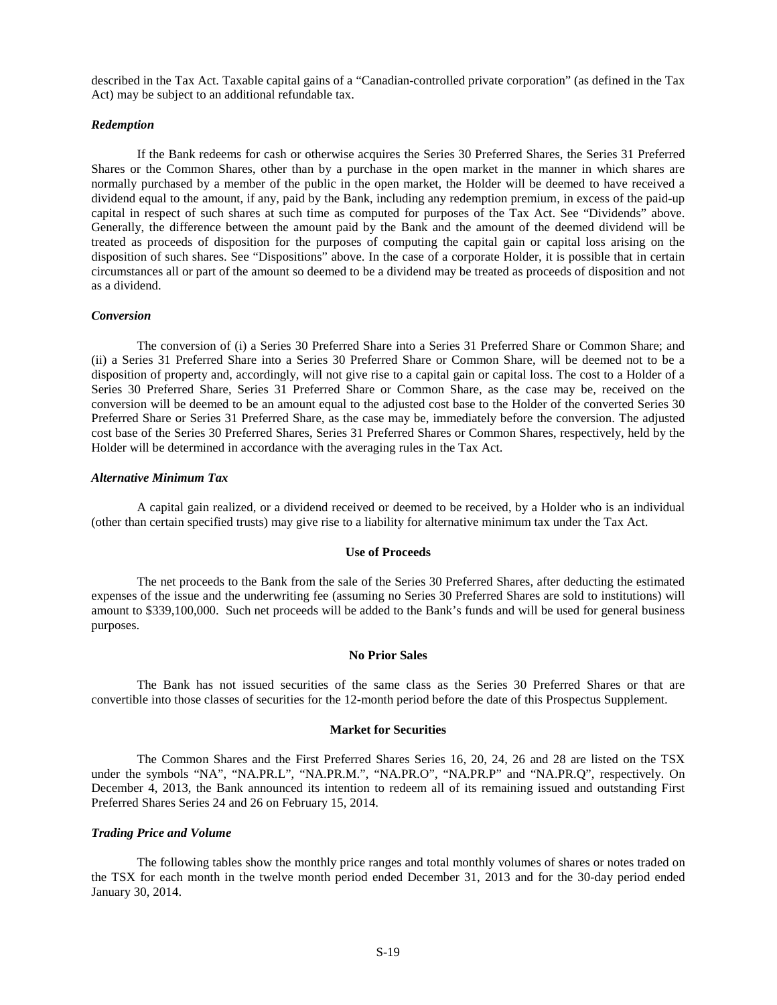described in the Tax Act. Taxable capital gains of a "Canadian-controlled private corporation" (as defined in the Tax Act) may be subject to an additional refundable tax.

# *Redemption*

If the Bank redeems for cash or otherwise acquires the Series 30 Preferred Shares, the Series 31 Preferred Shares or the Common Shares, other than by a purchase in the open market in the manner in which shares are normally purchased by a member of the public in the open market, the Holder will be deemed to have received a dividend equal to the amount, if any, paid by the Bank, including any redemption premium, in excess of the paid-up capital in respect of such shares at such time as computed for purposes of the Tax Act. See "Dividends" above. Generally, the difference between the amount paid by the Bank and the amount of the deemed dividend will be treated as proceeds of disposition for the purposes of computing the capital gain or capital loss arising on the disposition of such shares. See "Dispositions" above. In the case of a corporate Holder, it is possible that in certain circumstances all or part of the amount so deemed to be a dividend may be treated as proceeds of disposition and not as a dividend.

# *Conversion*

The conversion of (i) a Series 30 Preferred Share into a Series 31 Preferred Share or Common Share; and (ii) a Series 31 Preferred Share into a Series 30 Preferred Share or Common Share, will be deemed not to be a disposition of property and, accordingly, will not give rise to a capital gain or capital loss. The cost to a Holder of a Series 30 Preferred Share, Series 31 Preferred Share or Common Share, as the case may be, received on the conversion will be deemed to be an amount equal to the adjusted cost base to the Holder of the converted Series 30 Preferred Share or Series 31 Preferred Share, as the case may be, immediately before the conversion. The adjusted cost base of the Series 30 Preferred Shares, Series 31 Preferred Shares or Common Shares, respectively, held by the Holder will be determined in accordance with the averaging rules in the Tax Act.

#### *Alternative Minimum Tax*

A capital gain realized, or a dividend received or deemed to be received, by a Holder who is an individual (other than certain specified trusts) may give rise to a liability for alternative minimum tax under the Tax Act.

# <span id="page-18-0"></span>**Use of Proceeds**

The net proceeds to the Bank from the sale of the Series 30 Preferred Shares, after deducting the estimated expenses of the issue and the underwriting fee (assuming no Series 30 Preferred Shares are sold to institutions) will amount to \$339,100,000. Such net proceeds will be added to the Bank's funds and will be used for general business purposes.

# <span id="page-18-1"></span>**No Prior Sales**

The Bank has not issued securities of the same class as the Series 30 Preferred Shares or that are convertible into those classes of securities for the 12-month period before the date of this Prospectus Supplement.

#### <span id="page-18-2"></span>**Market for Securities**

The Common Shares and the First Preferred Shares Series 16, 20, 24, 26 and 28 are listed on the TSX under the symbols "NA", "NA.PR.L", "NA.PR.M.", "NA.PR.O", "NA.PR.P" and "NA.PR.Q", respectively. On December 4, 2013, the Bank announced its intention to redeem all of its remaining issued and outstanding First Preferred Shares Series 24 and 26 on February 15, 2014.

#### *Trading Price and Volume*

The following tables show the monthly price ranges and total monthly volumes of shares or notes traded on the TSX for each month in the twelve month period ended December 31, 2013 and for the 30-day period ended January 30, 2014.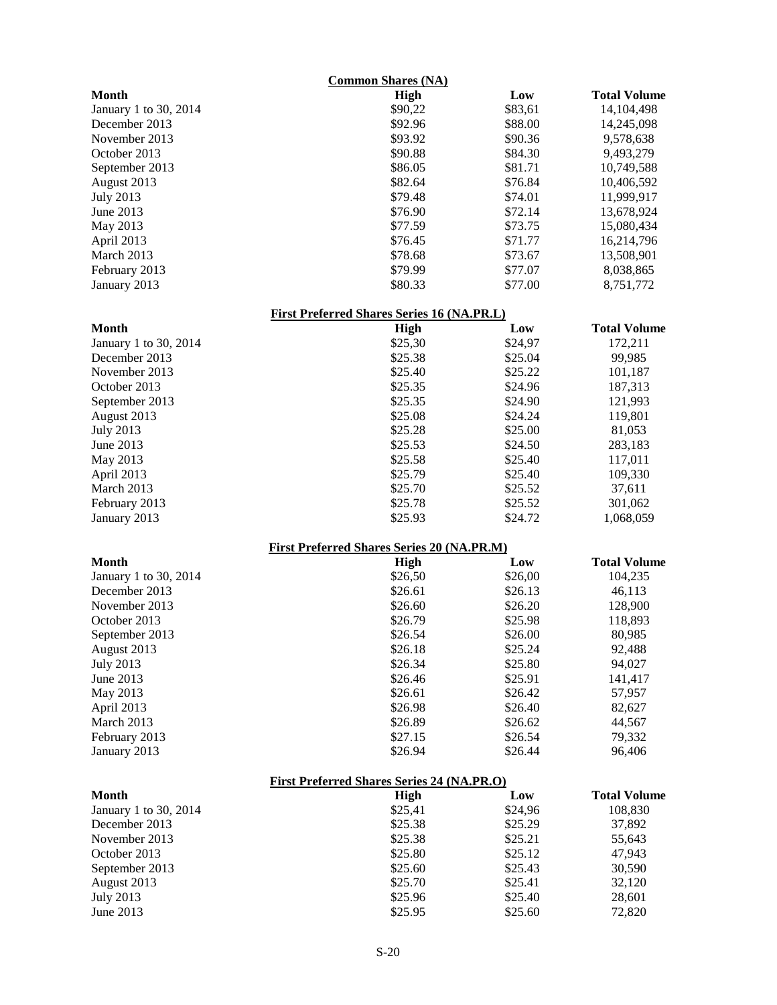| <b>Common Shares (NA)</b>                         |                                                   |         |                     |  |
|---------------------------------------------------|---------------------------------------------------|---------|---------------------|--|
| <b>Month</b>                                      | <b>High</b>                                       | Low     | <b>Total Volume</b> |  |
| January 1 to 30, 2014                             | \$90,22                                           | \$83,61 | 14,104,498          |  |
| December 2013                                     | \$92.96                                           | \$88.00 | 14,245,098          |  |
| November 2013                                     | \$93.92                                           | \$90.36 | 9,578,638           |  |
| October 2013                                      | \$90.88                                           | \$84.30 | 9,493,279           |  |
| September 2013                                    | \$86.05                                           | \$81.71 | 10,749,588          |  |
| August 2013                                       | \$82.64                                           | \$76.84 | 10,406,592          |  |
| <b>July 2013</b>                                  | \$79.48                                           | \$74.01 | 11,999,917          |  |
| June 2013                                         | \$76.90                                           | \$72.14 | 13,678,924          |  |
| May 2013                                          | \$77.59                                           | \$73.75 | 15,080,434          |  |
| April 2013                                        | \$76.45                                           | \$71.77 | 16,214,796          |  |
| March 2013                                        | \$78.68                                           | \$73.67 | 13,508,901          |  |
| February 2013                                     | \$79.99                                           | \$77.07 | 8,038,865           |  |
|                                                   | \$80.33                                           | \$77.00 |                     |  |
| January 2013                                      |                                                   |         | 8,751,772           |  |
|                                                   | <b>First Preferred Shares Series 16 (NA.PR.L)</b> |         |                     |  |
| <b>Month</b>                                      | <b>High</b>                                       | Low     | <b>Total Volume</b> |  |
| January 1 to 30, 2014                             | \$25,30                                           | \$24,97 | 172,211             |  |
| December 2013                                     | \$25.38                                           | \$25.04 | 99,985              |  |
| November 2013                                     | \$25.40                                           | \$25.22 | 101,187             |  |
| October 2013                                      | \$25.35                                           | \$24.96 | 187,313             |  |
| September 2013                                    | \$25.35                                           | \$24.90 | 121,993             |  |
| August 2013                                       | \$25.08                                           | \$24.24 | 119,801             |  |
| <b>July 2013</b>                                  | \$25.28                                           | \$25.00 | 81,053              |  |
| June 2013                                         | \$25.53                                           | \$24.50 | 283,183             |  |
| May 2013                                          | \$25.58                                           | \$25.40 | 117,011             |  |
| April 2013                                        | \$25.79                                           | \$25.40 | 109,330             |  |
| March 2013                                        | \$25.70                                           | \$25.52 | 37,611              |  |
| February 2013                                     | \$25.78                                           | \$25.52 | 301,062             |  |
| January 2013                                      | \$25.93                                           | \$24.72 | 1,068,059           |  |
|                                                   | <b>First Preferred Shares Series 20 (NA.PR.M)</b> |         |                     |  |
| Month                                             | High                                              | Low     | <b>Total Volume</b> |  |
| January 1 to 30, 2014                             | \$26,50                                           | \$26,00 | 104,235             |  |
| December 2013                                     | \$26.61                                           | \$26.13 | 46,113              |  |
| November 2013                                     |                                                   | \$26.20 |                     |  |
| October 2013                                      | \$26.60                                           |         | 128,900             |  |
|                                                   | \$26.79                                           | \$25.98 | 118,893             |  |
| September 2013                                    | \$26.54                                           | \$26.00 | 80,985              |  |
| August 2013                                       | \$26.18                                           | \$25.24 | 92,488              |  |
| <b>July 2013</b>                                  | \$26.34                                           | \$25.80 | 94,027              |  |
| June 2013                                         | \$26.46                                           | \$25.91 | 141,417             |  |
| May 2013                                          | \$26.61                                           | \$26.42 | 57,957              |  |
| April 2013                                        | \$26.98                                           | \$26.40 | 82,627              |  |
| March 2013                                        | \$26.89                                           | \$26.62 | 44,567              |  |
| February 2013                                     | \$27.15                                           | \$26.54 | 79,332              |  |
| January 2013                                      | \$26.94                                           | \$26.44 | 96,406              |  |
| <b>First Preferred Shares Series 24 (NA.PR.O)</b> |                                                   |         |                     |  |
| <b>Month</b>                                      | <b>High</b>                                       | Low     | <b>Total Volume</b> |  |
| January 1 to 30, 2014                             | \$25,41                                           | \$24,96 | 108,830             |  |
| December 2013                                     | \$25.38                                           | \$25.29 | 37,892              |  |
| November 2013                                     | \$25.38                                           | \$25.21 | 55,643              |  |
| October 2013                                      | \$25.80                                           | \$25.12 | 47,943              |  |
| September 2013                                    | \$25.60                                           | \$25.43 | 30,590              |  |
| August 2013                                       | \$25.70                                           | \$25.41 | 32,120              |  |
| <b>July 2013</b>                                  | \$25.96                                           | \$25.40 | 28,601              |  |
| June 2013                                         | \$25.95                                           | \$25.60 | 72,820              |  |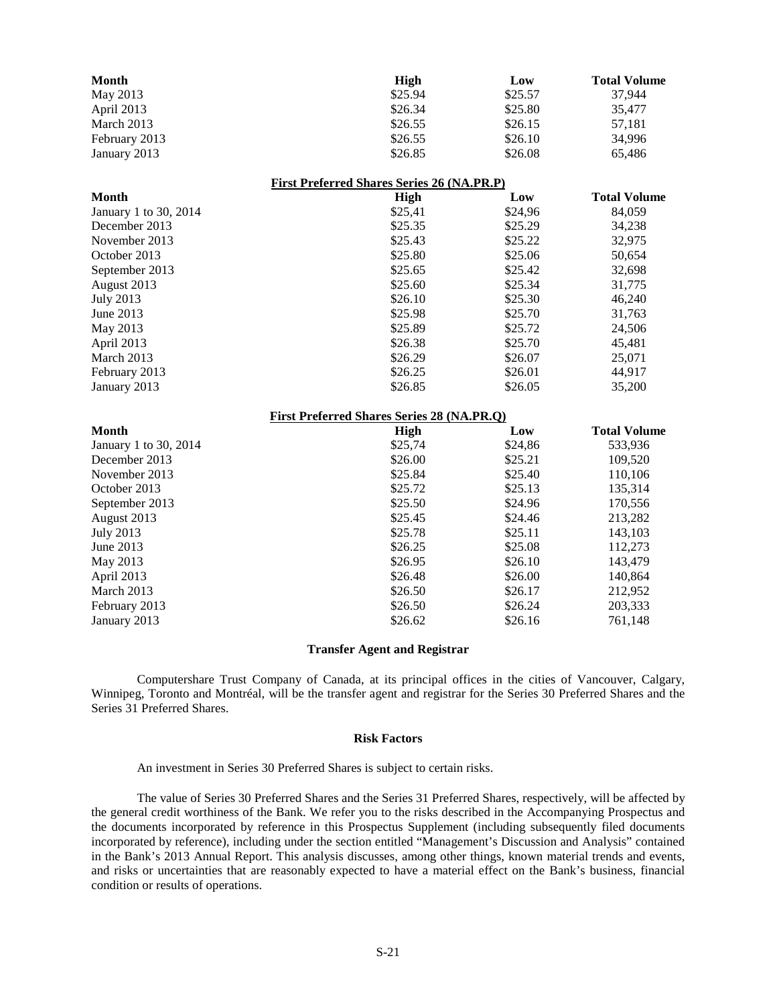| <b>Month</b>          | <b>High</b>                                       | Low     | <b>Total Volume</b> |
|-----------------------|---------------------------------------------------|---------|---------------------|
| May 2013              | \$25.94                                           | \$25.57 | 37,944              |
| April 2013            | \$26.34                                           | \$25.80 | 35,477              |
| March 2013            | \$26.55                                           | \$26.15 | 57,181              |
| February 2013         | \$26.55                                           | \$26.10 | 34,996              |
| January 2013          | \$26.85                                           | \$26.08 | 65,486              |
|                       | <b>First Preferred Shares Series 26 (NA.PR.P)</b> |         |                     |
| Month                 | <b>High</b>                                       | Low     | <b>Total Volume</b> |
| January 1 to 30, 2014 | \$25,41                                           | \$24,96 | 84,059              |
| December 2013         | \$25.35                                           | \$25.29 | 34,238              |
| November 2013         | \$25.43                                           | \$25.22 | 32,975              |
| October 2013          | \$25.80                                           | \$25.06 | 50,654              |
| September 2013        | \$25.65                                           | \$25.42 | 32,698              |
| August 2013           | \$25.60                                           | \$25.34 | 31,775              |
| <b>July 2013</b>      | \$26.10                                           | \$25.30 | 46,240              |
| June 2013             | \$25.98                                           | \$25.70 | 31,763              |
| May 2013              | \$25.89                                           | \$25.72 | 24,506              |
| April 2013            | \$26.38                                           | \$25.70 | 45,481              |
| March 2013            | \$26.29                                           | \$26.07 | 25,071              |
| February 2013         | \$26.25                                           | \$26.01 | 44,917              |
| January 2013          | \$26.85                                           | \$26.05 | 35,200              |
|                       | <b>First Preferred Shares Series 28 (NA.PR.O)</b> |         |                     |
| Month                 | High                                              | Low     | <b>Total Volume</b> |
| January 1 to 30, 2014 | \$25,74                                           | \$24,86 | 533,936             |
| December 2013         | \$26.00                                           | \$25.21 | 109,520             |
| November 2013         | \$25.84                                           | \$25.40 | 110,106             |
| October 2013          | \$25.72                                           | \$25.13 | 135,314             |
| September 2013        | \$25.50                                           | \$24.96 | 170,556             |
| August 2013           | \$25.45                                           | \$24.46 | 213,282             |
| <b>July 2013</b>      | \$25.78                                           | \$25.11 | 143,103             |
| June 2013             | \$26.25                                           | \$25.08 | 112,273             |
| May 2013              | \$26.95                                           | \$26.10 | 143,479             |
| April 2013            | \$26.48                                           | \$26.00 | 140,864             |
| March 2013            | \$26.50                                           | \$26.17 | 212,952             |
| February 2013         | \$26.50                                           | \$26.24 | 203,333             |
| January 2013          | \$26.62                                           | \$26.16 | 761,148             |

# <span id="page-20-0"></span>**Transfer Agent and Registrar**

Computershare Trust Company of Canada, at its principal offices in the cities of Vancouver, Calgary, Winnipeg, Toronto and Montréal, will be the transfer agent and registrar for the Series 30 Preferred Shares and the Series 31 Preferred Shares.

# <span id="page-20-1"></span>**Risk Factors**

An investment in Series 30 Preferred Shares is subject to certain risks.

The value of Series 30 Preferred Shares and the Series 31 Preferred Shares, respectively, will be affected by the general credit worthiness of the Bank. We refer you to the risks described in the Accompanying Prospectus and the documents incorporated by reference in this Prospectus Supplement (including subsequently filed documents incorporated by reference), including under the section entitled "Management's Discussion and Analysis" contained in the Bank's 2013 Annual Report. This analysis discusses, among other things, known material trends and events, and risks or uncertainties that are reasonably expected to have a material effect on the Bank's business, financial condition or results of operations.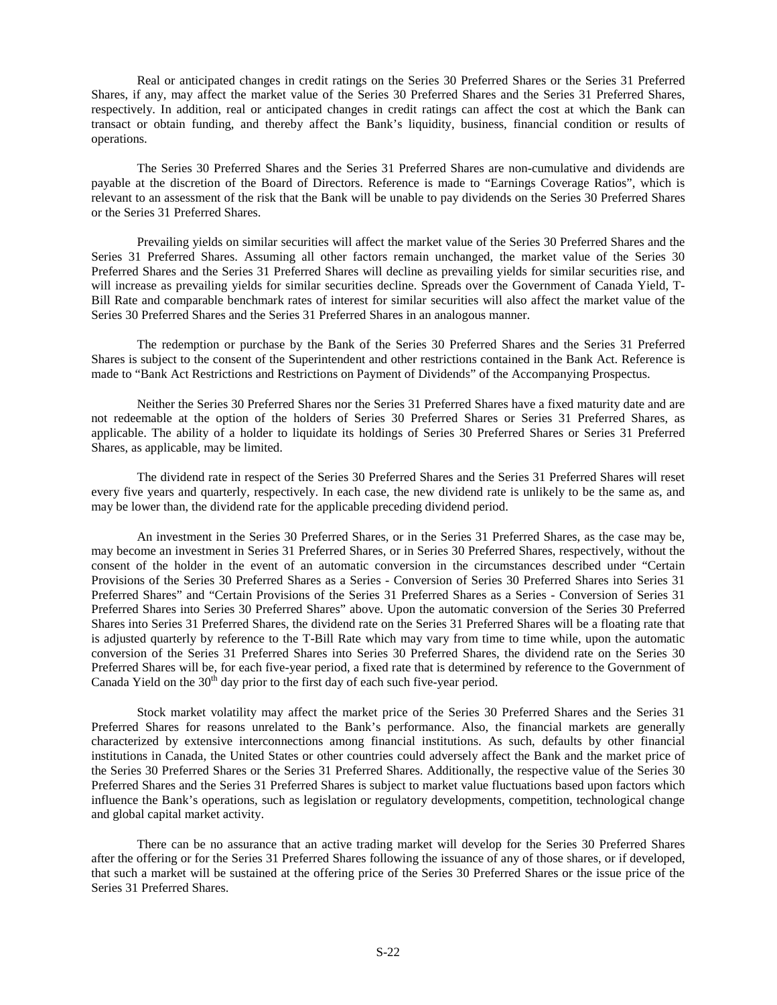Real or anticipated changes in credit ratings on the Series 30 Preferred Shares or the Series 31 Preferred Shares, if any, may affect the market value of the Series 30 Preferred Shares and the Series 31 Preferred Shares, respectively. In addition, real or anticipated changes in credit ratings can affect the cost at which the Bank can transact or obtain funding, and thereby affect the Bank's liquidity, business, financial condition or results of operations.

The Series 30 Preferred Shares and the Series 31 Preferred Shares are non-cumulative and dividends are payable at the discretion of the Board of Directors. Reference is made to "Earnings Coverage Ratios", which is relevant to an assessment of the risk that the Bank will be unable to pay dividends on the Series 30 Preferred Shares or the Series 31 Preferred Shares.

Prevailing yields on similar securities will affect the market value of the Series 30 Preferred Shares and the Series 31 Preferred Shares. Assuming all other factors remain unchanged, the market value of the Series 30 Preferred Shares and the Series 31 Preferred Shares will decline as prevailing yields for similar securities rise, and will increase as prevailing yields for similar securities decline. Spreads over the Government of Canada Yield, T-Bill Rate and comparable benchmark rates of interest for similar securities will also affect the market value of the Series 30 Preferred Shares and the Series 31 Preferred Shares in an analogous manner.

The redemption or purchase by the Bank of the Series 30 Preferred Shares and the Series 31 Preferred Shares is subject to the consent of the Superintendent and other restrictions contained in the Bank Act. Reference is made to "Bank Act Restrictions and Restrictions on Payment of Dividends" of the Accompanying Prospectus.

Neither the Series 30 Preferred Shares nor the Series 31 Preferred Shares have a fixed maturity date and are not redeemable at the option of the holders of Series 30 Preferred Shares or Series 31 Preferred Shares, as applicable. The ability of a holder to liquidate its holdings of Series 30 Preferred Shares or Series 31 Preferred Shares, as applicable, may be limited.

The dividend rate in respect of the Series 30 Preferred Shares and the Series 31 Preferred Shares will reset every five years and quarterly, respectively. In each case, the new dividend rate is unlikely to be the same as, and may be lower than, the dividend rate for the applicable preceding dividend period.

An investment in the Series 30 Preferred Shares, or in the Series 31 Preferred Shares, as the case may be, may become an investment in Series 31 Preferred Shares, or in Series 30 Preferred Shares, respectively, without the consent of the holder in the event of an automatic conversion in the circumstances described under "Certain Provisions of the Series 30 Preferred Shares as a Series - Conversion of Series 30 Preferred Shares into Series 31 Preferred Shares" and "Certain Provisions of the Series 31 Preferred Shares as a Series - Conversion of Series 31 Preferred Shares into Series 30 Preferred Shares" above. Upon the automatic conversion of the Series 30 Preferred Shares into Series 31 Preferred Shares, the dividend rate on the Series 31 Preferred Shares will be a floating rate that is adjusted quarterly by reference to the T-Bill Rate which may vary from time to time while, upon the automatic conversion of the Series 31 Preferred Shares into Series 30 Preferred Shares, the dividend rate on the Series 30 Preferred Shares will be, for each five-year period, a fixed rate that is determined by reference to the Government of Canada Yield on the  $30<sup>th</sup>$  day prior to the first day of each such five-year period.

Stock market volatility may affect the market price of the Series 30 Preferred Shares and the Series 31 Preferred Shares for reasons unrelated to the Bank's performance. Also, the financial markets are generally characterized by extensive interconnections among financial institutions. As such, defaults by other financial institutions in Canada, the United States or other countries could adversely affect the Bank and the market price of the Series 30 Preferred Shares or the Series 31 Preferred Shares. Additionally, the respective value of the Series 30 Preferred Shares and the Series 31 Preferred Shares is subject to market value fluctuations based upon factors which influence the Bank's operations, such as legislation or regulatory developments, competition, technological change and global capital market activity.

There can be no assurance that an active trading market will develop for the Series 30 Preferred Shares after the offering or for the Series 31 Preferred Shares following the issuance of any of those shares, or if developed, that such a market will be sustained at the offering price of the Series 30 Preferred Shares or the issue price of the Series 31 Preferred Shares.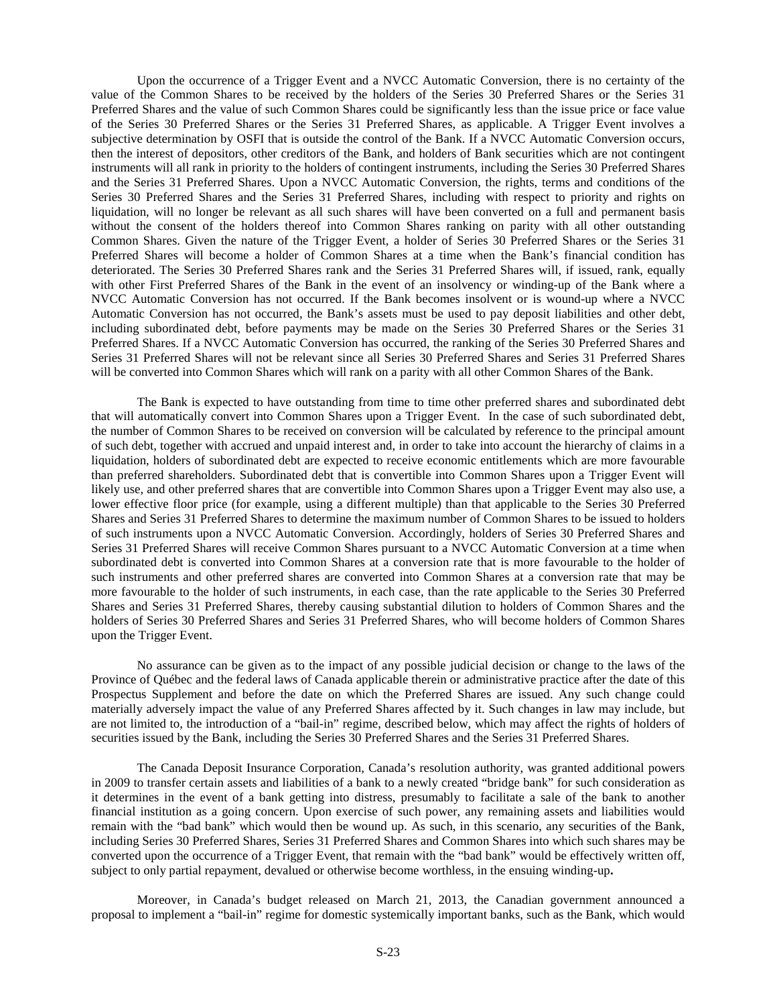Upon the occurrence of a Trigger Event and a NVCC Automatic Conversion, there is no certainty of the value of the Common Shares to be received by the holders of the Series 30 Preferred Shares or the Series 31 Preferred Shares and the value of such Common Shares could be significantly less than the issue price or face value of the Series 30 Preferred Shares or the Series 31 Preferred Shares, as applicable. A Trigger Event involves a subjective determination by OSFI that is outside the control of the Bank. If a NVCC Automatic Conversion occurs, then the interest of depositors, other creditors of the Bank, and holders of Bank securities which are not contingent instruments will all rank in priority to the holders of contingent instruments, including the Series 30 Preferred Shares and the Series 31 Preferred Shares. Upon a NVCC Automatic Conversion, the rights, terms and conditions of the Series 30 Preferred Shares and the Series 31 Preferred Shares, including with respect to priority and rights on liquidation, will no longer be relevant as all such shares will have been converted on a full and permanent basis without the consent of the holders thereof into Common Shares ranking on parity with all other outstanding Common Shares. Given the nature of the Trigger Event, a holder of Series 30 Preferred Shares or the Series 31 Preferred Shares will become a holder of Common Shares at a time when the Bank's financial condition has deteriorated. The Series 30 Preferred Shares rank and the Series 31 Preferred Shares will, if issued, rank, equally with other First Preferred Shares of the Bank in the event of an insolvency or winding-up of the Bank where a NVCC Automatic Conversion has not occurred. If the Bank becomes insolvent or is wound-up where a NVCC Automatic Conversion has not occurred, the Bank's assets must be used to pay deposit liabilities and other debt, including subordinated debt, before payments may be made on the Series 30 Preferred Shares or the Series 31 Preferred Shares. If a NVCC Automatic Conversion has occurred, the ranking of the Series 30 Preferred Shares and Series 31 Preferred Shares will not be relevant since all Series 30 Preferred Shares and Series 31 Preferred Shares will be converted into Common Shares which will rank on a parity with all other Common Shares of the Bank.

The Bank is expected to have outstanding from time to time other preferred shares and subordinated debt that will automatically convert into Common Shares upon a Trigger Event. In the case of such subordinated debt, the number of Common Shares to be received on conversion will be calculated by reference to the principal amount of such debt, together with accrued and unpaid interest and, in order to take into account the hierarchy of claims in a liquidation, holders of subordinated debt are expected to receive economic entitlements which are more favourable than preferred shareholders. Subordinated debt that is convertible into Common Shares upon a Trigger Event will likely use, and other preferred shares that are convertible into Common Shares upon a Trigger Event may also use, a lower effective floor price (for example, using a different multiple) than that applicable to the Series 30 Preferred Shares and Series 31 Preferred Shares to determine the maximum number of Common Shares to be issued to holders of such instruments upon a NVCC Automatic Conversion. Accordingly, holders of Series 30 Preferred Shares and Series 31 Preferred Shares will receive Common Shares pursuant to a NVCC Automatic Conversion at a time when subordinated debt is converted into Common Shares at a conversion rate that is more favourable to the holder of such instruments and other preferred shares are converted into Common Shares at a conversion rate that may be more favourable to the holder of such instruments, in each case, than the rate applicable to the Series 30 Preferred Shares and Series 31 Preferred Shares, thereby causing substantial dilution to holders of Common Shares and the holders of Series 30 Preferred Shares and Series 31 Preferred Shares, who will become holders of Common Shares upon the Trigger Event.

No assurance can be given as to the impact of any possible judicial decision or change to the laws of the Province of Québec and the federal laws of Canada applicable therein or administrative practice after the date of this Prospectus Supplement and before the date on which the Preferred Shares are issued. Any such change could materially adversely impact the value of any Preferred Shares affected by it. Such changes in law may include, but are not limited to, the introduction of a "bail-in" regime, described below, which may affect the rights of holders of securities issued by the Bank, including the Series 30 Preferred Shares and the Series 31 Preferred Shares.

The Canada Deposit Insurance Corporation, Canada's resolution authority, was granted additional powers in 2009 to transfer certain assets and liabilities of a bank to a newly created "bridge bank" for such consideration as it determines in the event of a bank getting into distress, presumably to facilitate a sale of the bank to another financial institution as a going concern. Upon exercise of such power, any remaining assets and liabilities would remain with the "bad bank" which would then be wound up. As such, in this scenario, any securities of the Bank, including Series 30 Preferred Shares, Series 31 Preferred Shares and Common Shares into which such shares may be converted upon the occurrence of a Trigger Event, that remain with the "bad bank" would be effectively written off, subject to only partial repayment, devalued or otherwise become worthless, in the ensuing winding-up**.**

Moreover, in Canada's budget released on March 21, 2013, the Canadian government announced a proposal to implement a "bail-in" regime for domestic systemically important banks, such as the Bank, which would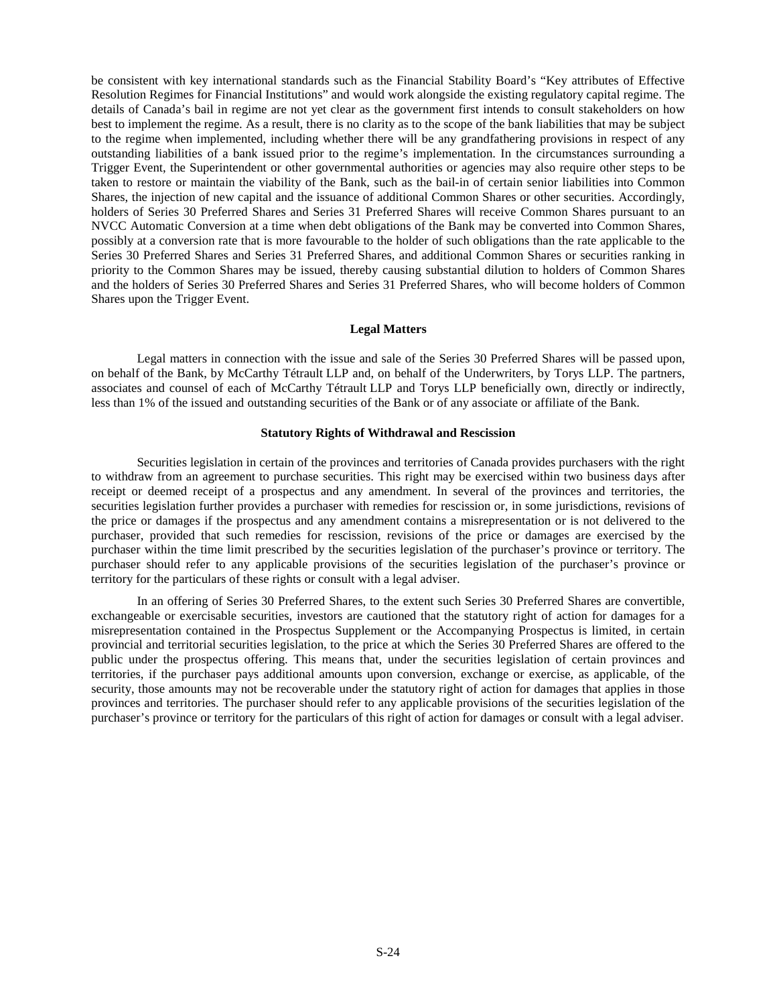be consistent with key international standards such as the Financial Stability Board's "Key attributes of Effective Resolution Regimes for Financial Institutions" and would work alongside the existing regulatory capital regime. The details of Canada's bail in regime are not yet clear as the government first intends to consult stakeholders on how best to implement the regime. As a result, there is no clarity as to the scope of the bank liabilities that may be subject to the regime when implemented, including whether there will be any grandfathering provisions in respect of any outstanding liabilities of a bank issued prior to the regime's implementation. In the circumstances surrounding a Trigger Event, the Superintendent or other governmental authorities or agencies may also require other steps to be taken to restore or maintain the viability of the Bank, such as the bail-in of certain senior liabilities into Common Shares, the injection of new capital and the issuance of additional Common Shares or other securities. Accordingly, holders of Series 30 Preferred Shares and Series 31 Preferred Shares will receive Common Shares pursuant to an NVCC Automatic Conversion at a time when debt obligations of the Bank may be converted into Common Shares, possibly at a conversion rate that is more favourable to the holder of such obligations than the rate applicable to the Series 30 Preferred Shares and Series 31 Preferred Shares, and additional Common Shares or securities ranking in priority to the Common Shares may be issued, thereby causing substantial dilution to holders of Common Shares and the holders of Series 30 Preferred Shares and Series 31 Preferred Shares, who will become holders of Common Shares upon the Trigger Event.

# <span id="page-23-0"></span>**Legal Matters**

Legal matters in connection with the issue and sale of the Series 30 Preferred Shares will be passed upon, on behalf of the Bank, by McCarthy Tétrault LLP and, on behalf of the Underwriters, by Torys LLP. The partners, associates and counsel of each of McCarthy Tétrault LLP and Torys LLP beneficially own, directly or indirectly, less than 1% of the issued and outstanding securities of the Bank or of any associate or affiliate of the Bank.

# <span id="page-23-1"></span>**Statutory Rights of Withdrawal and Rescission**

Securities legislation in certain of the provinces and territories of Canada provides purchasers with the right to withdraw from an agreement to purchase securities. This right may be exercised within two business days after receipt or deemed receipt of a prospectus and any amendment. In several of the provinces and territories, the securities legislation further provides a purchaser with remedies for rescission or, in some jurisdictions, revisions of the price or damages if the prospectus and any amendment contains a misrepresentation or is not delivered to the purchaser, provided that such remedies for rescission, revisions of the price or damages are exercised by the purchaser within the time limit prescribed by the securities legislation of the purchaser's province or territory. The purchaser should refer to any applicable provisions of the securities legislation of the purchaser's province or territory for the particulars of these rights or consult with a legal adviser.

In an offering of Series 30 Preferred Shares, to the extent such Series 30 Preferred Shares are convertible, exchangeable or exercisable securities, investors are cautioned that the statutory right of action for damages for a misrepresentation contained in the Prospectus Supplement or the Accompanying Prospectus is limited, in certain provincial and territorial securities legislation, to the price at which the Series 30 Preferred Shares are offered to the public under the prospectus offering. This means that, under the securities legislation of certain provinces and territories, if the purchaser pays additional amounts upon conversion, exchange or exercise, as applicable, of the security, those amounts may not be recoverable under the statutory right of action for damages that applies in those provinces and territories. The purchaser should refer to any applicable provisions of the securities legislation of the purchaser's province or territory for the particulars of this right of action for damages or consult with a legal adviser.